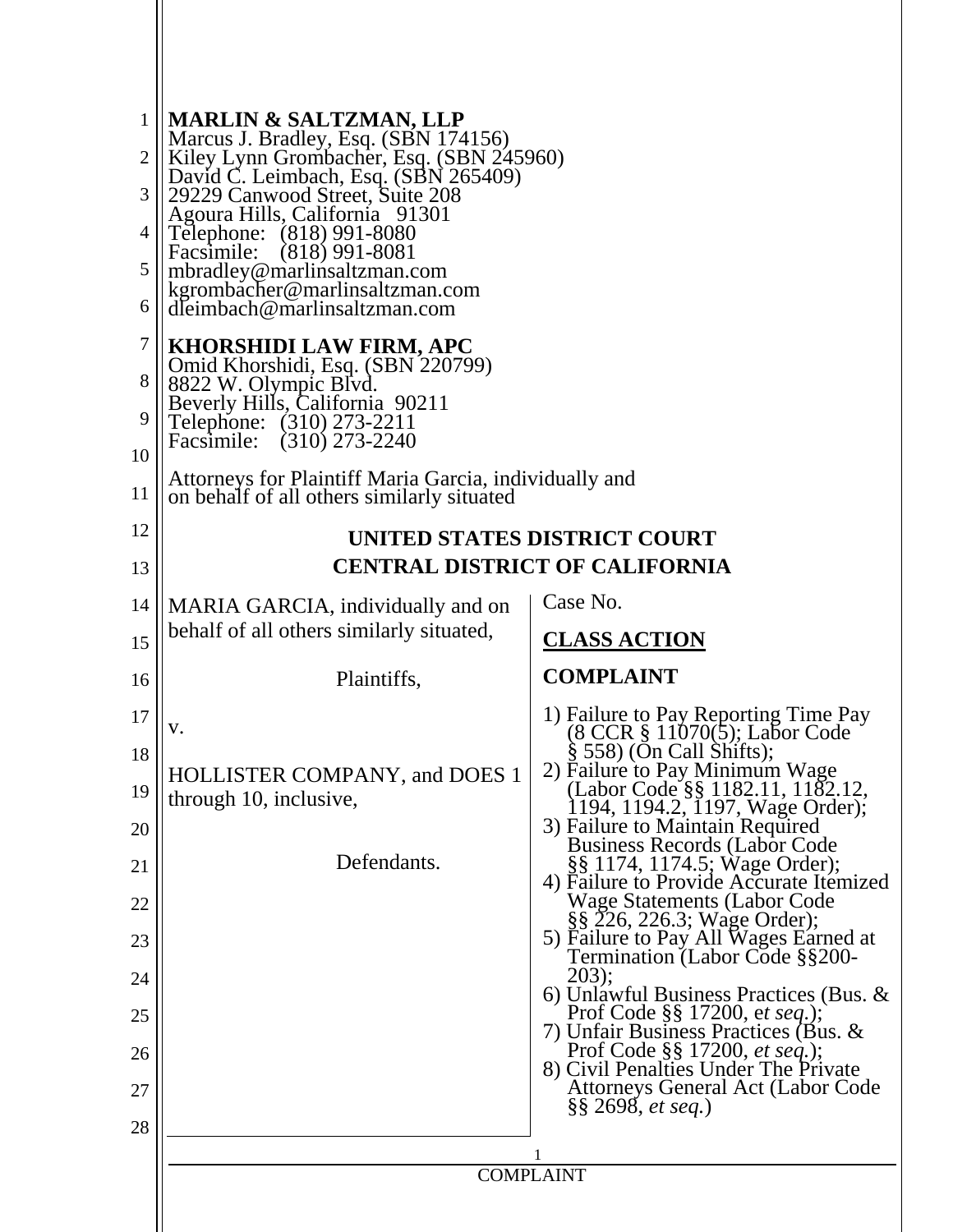| $\mathbf{1}$<br>2<br>3<br>4<br>5<br>6<br>7 | <b>MARLIN &amp; SALTZMAN, LLP</b><br>Marcus J. Bradley, Esq. (SBN 174156)<br>Kiley Lynn Grombacher, Esq. (SBN 245960)<br>David C. Leimbach, Esq. (SBN 265409)<br>29229 Canwood Street, Suite 208<br>Agoura Hills, California 91301<br>Telephone: (818) 991-8080<br>Facsimile: (818) 991-8081<br>mbradley@marlinsaltzman.com<br>kgrombacher@marlinsaltzman.com<br>dleimbach@marlinsaltzman.com |                                                                                                            |  |  |
|--------------------------------------------|-----------------------------------------------------------------------------------------------------------------------------------------------------------------------------------------------------------------------------------------------------------------------------------------------------------------------------------------------------------------------------------------------|------------------------------------------------------------------------------------------------------------|--|--|
| 8<br>9<br>10                               | <b>KHORSHIDI LAW FIRM, APC</b><br>Omid Khorshidi, Esq. (SBN 220799)<br>8822 W. Olympic Blvd.<br>Beverly Hills, California 90211<br>Telephone: (310) 273-2211<br>Facsimile: (310) 273-2240<br>Attorneys for Plaintiff Maria Garcia, individually and                                                                                                                                           |                                                                                                            |  |  |
| 11                                         | on behalf of all others similarly situated                                                                                                                                                                                                                                                                                                                                                    |                                                                                                            |  |  |
| 12<br>13                                   | UNITED STATES DISTRICT COURT<br><b>CENTRAL DISTRICT OF CALIFORNIA</b>                                                                                                                                                                                                                                                                                                                         |                                                                                                            |  |  |
| 14                                         | MARIA GARCIA, individually and on                                                                                                                                                                                                                                                                                                                                                             | Case No.                                                                                                   |  |  |
| 15                                         | behalf of all others similarly situated,                                                                                                                                                                                                                                                                                                                                                      | <b>CLASS ACTION</b>                                                                                        |  |  |
| 16                                         | Plaintiffs,                                                                                                                                                                                                                                                                                                                                                                                   | <b>COMPLAINT</b>                                                                                           |  |  |
| 17                                         | v.                                                                                                                                                                                                                                                                                                                                                                                            | 1) Failure to Pay Reporting Time Pay<br>(8 CCR § 11070(5); Labor Code                                      |  |  |
| 18                                         |                                                                                                                                                                                                                                                                                                                                                                                               | $\S$ 558) (On Call Shifts);<br>2) Failure to Pay Minimum Wage                                              |  |  |
| 19                                         | <b>HOLLISTER COMPANY, and DOES 1</b><br>through 10, inclusive,                                                                                                                                                                                                                                                                                                                                | (Labor Code §§ 1182.11, 1182.12,<br>1194, 1194.2, 1197, Wage Order);                                       |  |  |
| 20                                         |                                                                                                                                                                                                                                                                                                                                                                                               | 3) Failure to Maintain Required<br><b>Business Records (Labor Code</b>                                     |  |  |
| 21                                         | Defendants.                                                                                                                                                                                                                                                                                                                                                                                   | §§ 1174, 1174.5; Wage Order);<br>4) Failure to Provide Accurate Itemized                                   |  |  |
| 22                                         |                                                                                                                                                                                                                                                                                                                                                                                               | <b>Wage Statements (Labor Code</b><br>§§ 226, 226.3; Wage Order);                                          |  |  |
| 23                                         |                                                                                                                                                                                                                                                                                                                                                                                               | 5) Failure to Pay All Wages Earned at<br>Termination (Labor Code §§200-                                    |  |  |
| 24                                         |                                                                                                                                                                                                                                                                                                                                                                                               | 203);<br>6) Unlawful Business Practices (Bus. $\&$                                                         |  |  |
| 25                                         |                                                                                                                                                                                                                                                                                                                                                                                               | Prof Code §§ 17200, et seq.);<br>7) Unfair Business Practices (Bus. &                                      |  |  |
| 26                                         |                                                                                                                                                                                                                                                                                                                                                                                               | Prof Code §§ 17200, et seq.);<br>8) Civil Penalties Under The Private<br>Attorneys General Act (Labor Code |  |  |
| 27<br>28                                   |                                                                                                                                                                                                                                                                                                                                                                                               | $\S\S 2698, et seq.)$                                                                                      |  |  |
|                                            |                                                                                                                                                                                                                                                                                                                                                                                               |                                                                                                            |  |  |
|                                            | <b>COMPLAINT</b>                                                                                                                                                                                                                                                                                                                                                                              |                                                                                                            |  |  |
|                                            |                                                                                                                                                                                                                                                                                                                                                                                               |                                                                                                            |  |  |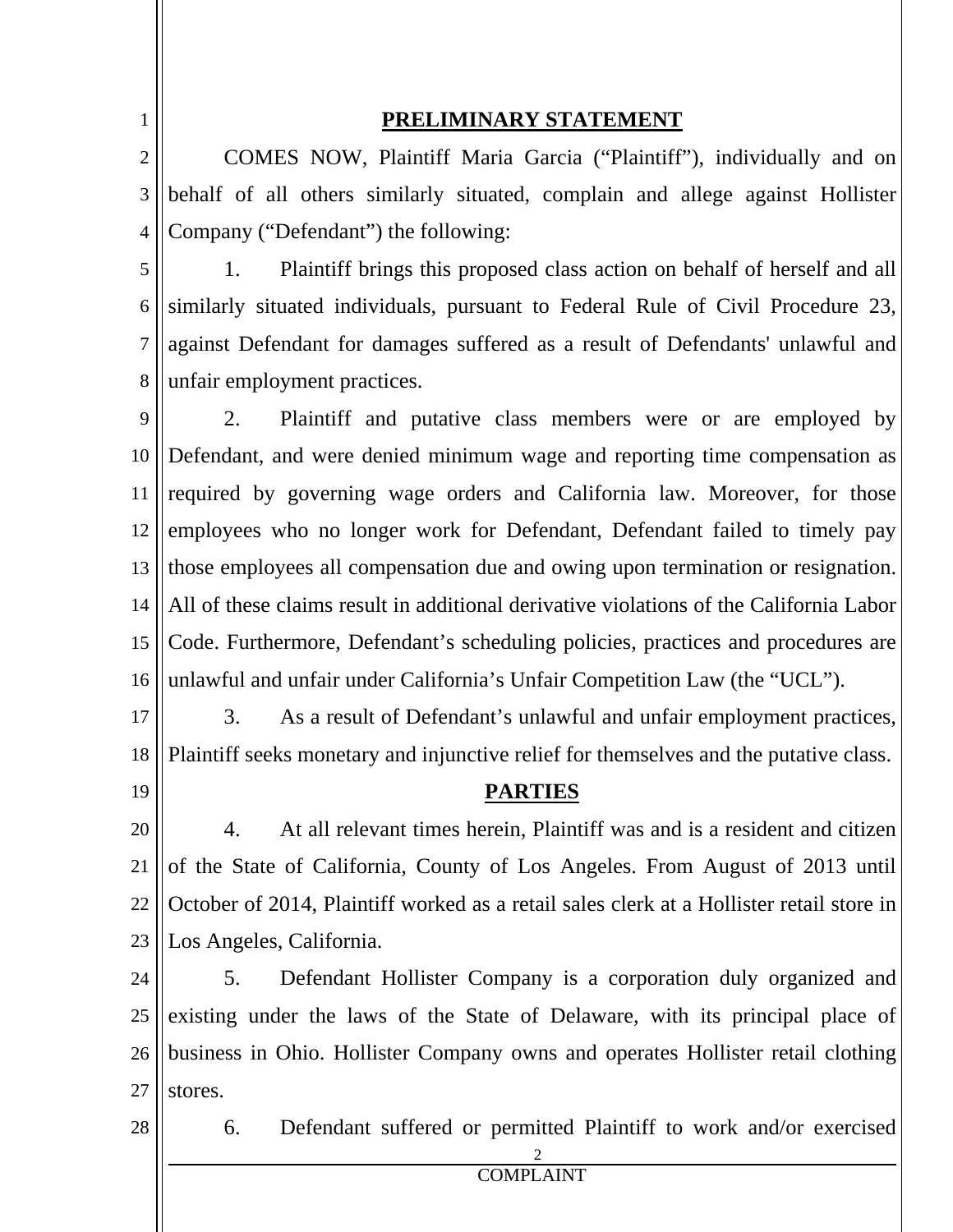1

### **PRELIMINARY STATEMENT**

2 3 4 COMES NOW, Plaintiff Maria Garcia ("Plaintiff"), individually and on behalf of all others similarly situated, complain and allege against Hollister Company ("Defendant") the following:

5 6 7 8 1. Plaintiff brings this proposed class action on behalf of herself and all similarly situated individuals, pursuant to Federal Rule of Civil Procedure 23, against Defendant for damages suffered as a result of Defendants' unlawful and unfair employment practices.

9 10 11 12 13 14 15 16 2. Plaintiff and putative class members were or are employed by Defendant, and were denied minimum wage and reporting time compensation as required by governing wage orders and California law. Moreover, for those employees who no longer work for Defendant, Defendant failed to timely pay those employees all compensation due and owing upon termination or resignation. All of these claims result in additional derivative violations of the California Labor Code. Furthermore, Defendant's scheduling policies, practices and procedures are unlawful and unfair under California's Unfair Competition Law (the "UCL").

17

18 3. As a result of Defendant's unlawful and unfair employment practices, Plaintiff seeks monetary and injunctive relief for themselves and the putative class.

19

#### **PARTIES**

20 21 22 23 4. At all relevant times herein, Plaintiff was and is a resident and citizen of the State of California, County of Los Angeles. From August of 2013 until October of 2014, Plaintiff worked as a retail sales clerk at a Hollister retail store in Los Angeles, California.

24 25 26 27 5. Defendant Hollister Company is a corporation duly organized and existing under the laws of the State of Delaware, with its principal place of business in Ohio. Hollister Company owns and operates Hollister retail clothing stores.

28

6. Defendant suffered or permitted Plaintiff to work and/or exercised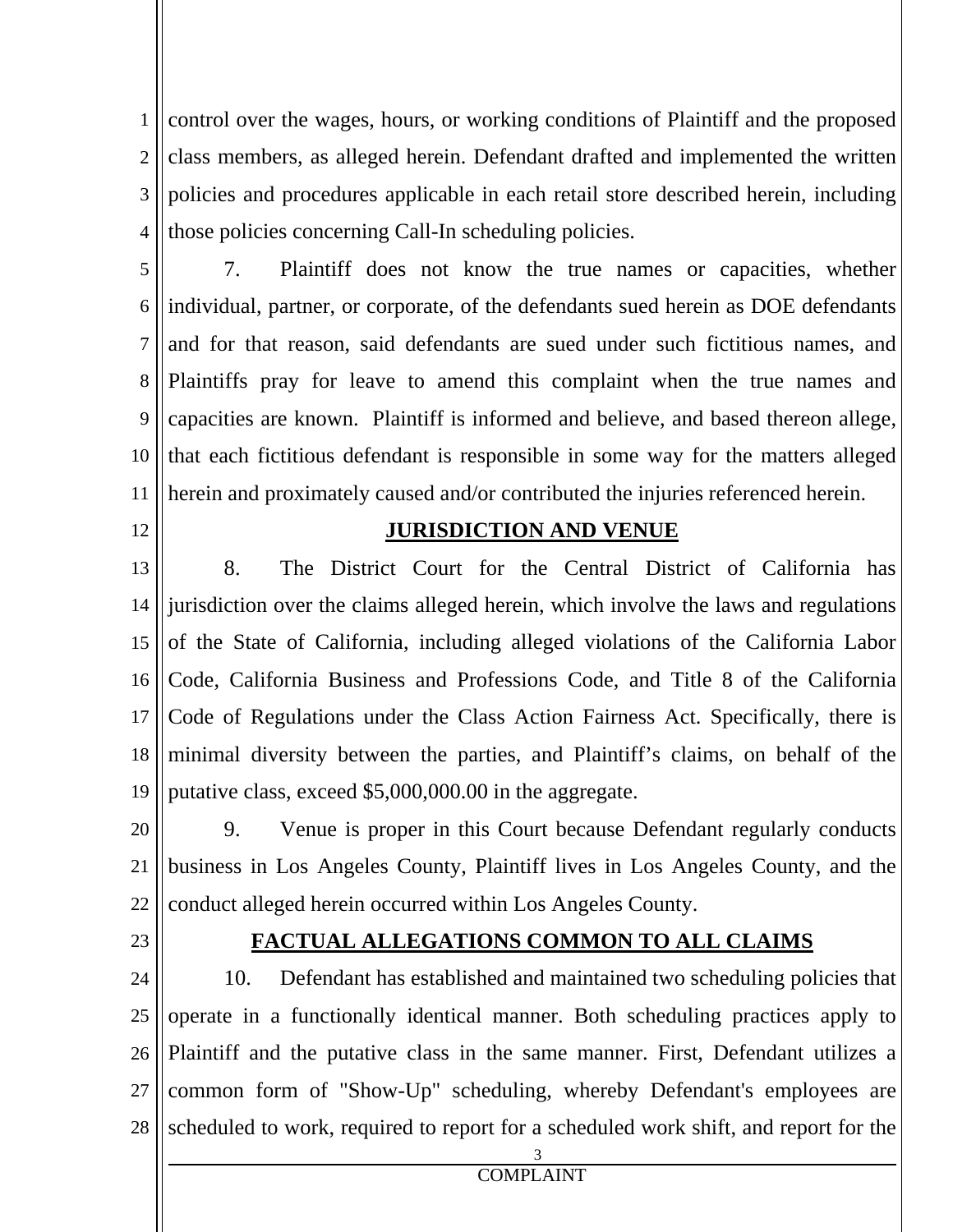1 2 3 4 control over the wages, hours, or working conditions of Plaintiff and the proposed class members, as alleged herein. Defendant drafted and implemented the written policies and procedures applicable in each retail store described herein, including those policies concerning Call-In scheduling policies.

5 6 7 8 9 10 11 7. Plaintiff does not know the true names or capacities, whether individual, partner, or corporate, of the defendants sued herein as DOE defendants and for that reason, said defendants are sued under such fictitious names, and Plaintiffs pray for leave to amend this complaint when the true names and capacities are known. Plaintiff is informed and believe, and based thereon allege, that each fictitious defendant is responsible in some way for the matters alleged herein and proximately caused and/or contributed the injuries referenced herein.

12

#### **JURISDICTION AND VENUE**

13 14 15 16 17 18 19 8. The District Court for the Central District of California has jurisdiction over the claims alleged herein, which involve the laws and regulations of the State of California, including alleged violations of the California Labor Code, California Business and Professions Code, and Title 8 of the California Code of Regulations under the Class Action Fairness Act. Specifically, there is minimal diversity between the parties, and Plaintiff's claims, on behalf of the putative class, exceed \$5,000,000.00 in the aggregate.

20 21 22 9. Venue is proper in this Court because Defendant regularly conducts business in Los Angeles County, Plaintiff lives in Los Angeles County, and the conduct alleged herein occurred within Los Angeles County.

23

#### **FACTUAL ALLEGATIONS COMMON TO ALL CLAIMS**

24 25 26 27 28 10. Defendant has established and maintained two scheduling policies that operate in a functionally identical manner. Both scheduling practices apply to Plaintiff and the putative class in the same manner. First, Defendant utilizes a common form of "Show-Up" scheduling, whereby Defendant's employees are scheduled to work, required to report for a scheduled work shift, and report for the

COMPLAINT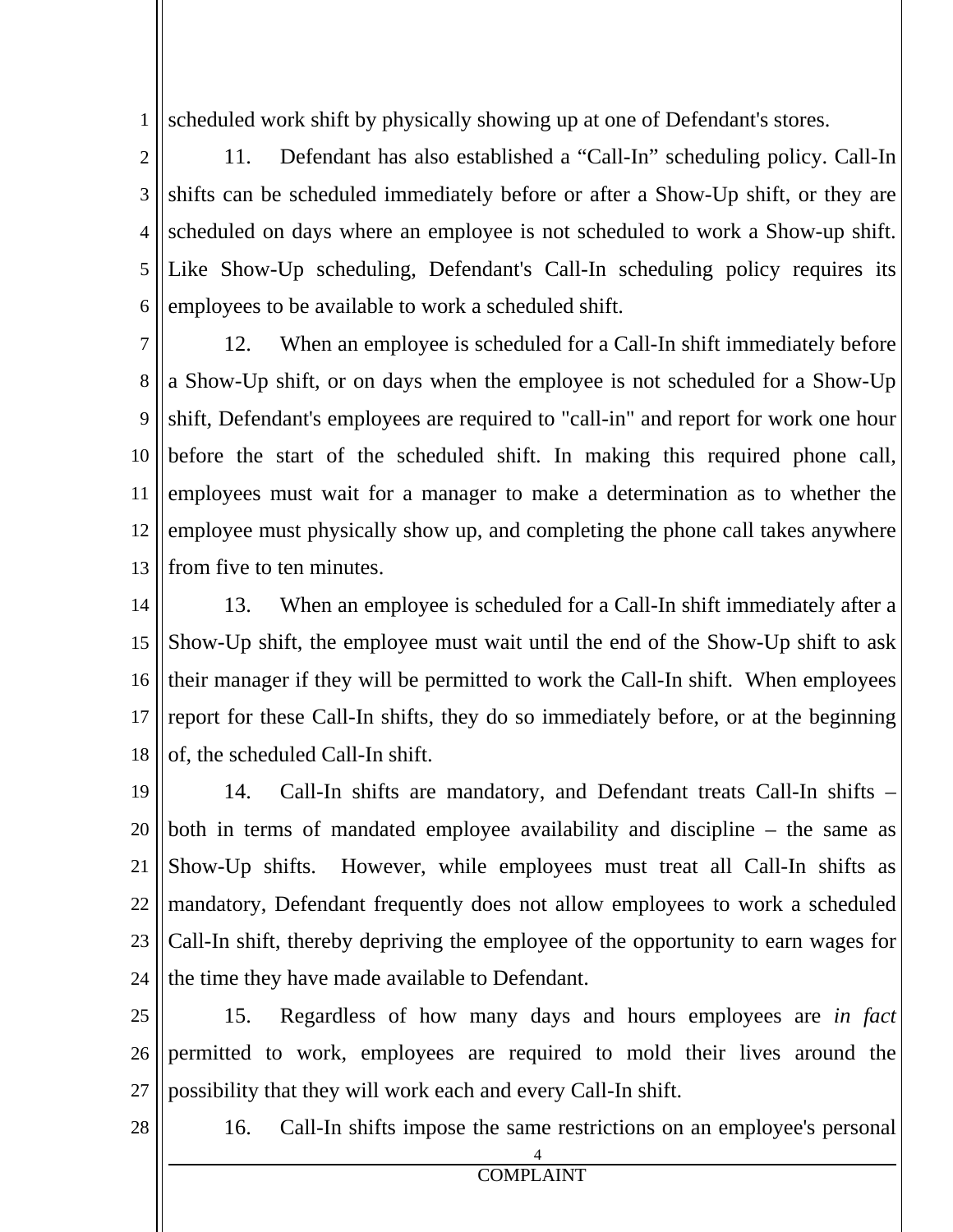1 scheduled work shift by physically showing up at one of Defendant's stores.

2 3 4 5 6 11. Defendant has also established a "Call-In" scheduling policy. Call-In shifts can be scheduled immediately before or after a Show-Up shift, or they are scheduled on days where an employee is not scheduled to work a Show-up shift. Like Show-Up scheduling, Defendant's Call-In scheduling policy requires its employees to be available to work a scheduled shift.

7 8 9 10 11 12 13 12. When an employee is scheduled for a Call-In shift immediately before a Show-Up shift, or on days when the employee is not scheduled for a Show-Up shift, Defendant's employees are required to "call-in" and report for work one hour before the start of the scheduled shift. In making this required phone call, employees must wait for a manager to make a determination as to whether the employee must physically show up, and completing the phone call takes anywhere from five to ten minutes.

14 15 16 17 18 13. When an employee is scheduled for a Call-In shift immediately after a Show-Up shift, the employee must wait until the end of the Show-Up shift to ask their manager if they will be permitted to work the Call-In shift. When employees report for these Call-In shifts, they do so immediately before, or at the beginning of, the scheduled Call-In shift.

19 20 21 22 23 24 14. Call-In shifts are mandatory, and Defendant treats Call-In shifts – both in terms of mandated employee availability and discipline – the same as Show-Up shifts. However, while employees must treat all Call-In shifts as mandatory, Defendant frequently does not allow employees to work a scheduled Call-In shift, thereby depriving the employee of the opportunity to earn wages for the time they have made available to Defendant.

25 26 27 15. Regardless of how many days and hours employees are *in fact*  permitted to work, employees are required to mold their lives around the possibility that they will work each and every Call-In shift.

4

28

16. Call-In shifts impose the same restrictions on an employee's personal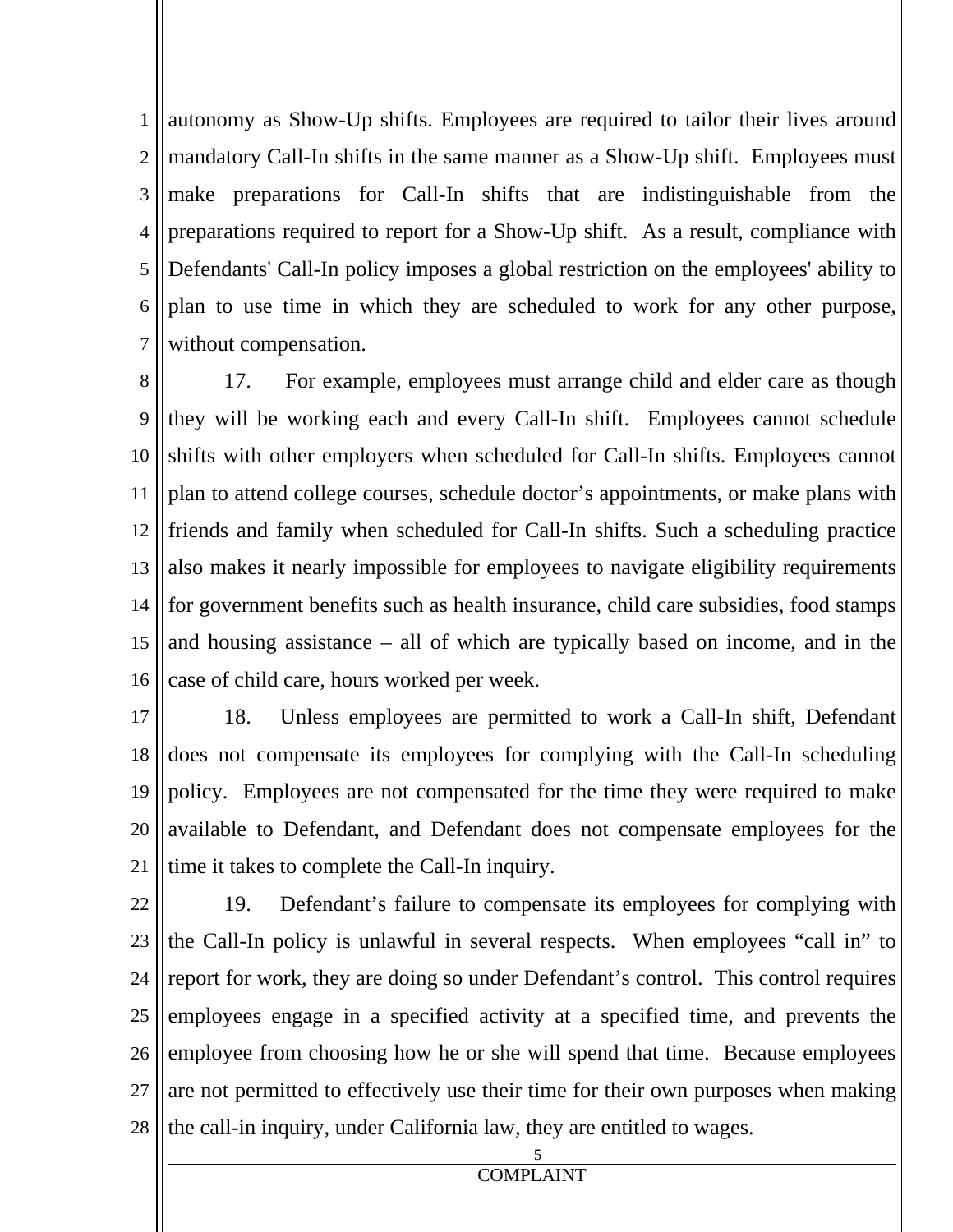1 2 3 4 5 6 7 autonomy as Show-Up shifts. Employees are required to tailor their lives around mandatory Call-In shifts in the same manner as a Show-Up shift. Employees must make preparations for Call-In shifts that are indistinguishable from the preparations required to report for a Show-Up shift. As a result, compliance with Defendants' Call-In policy imposes a global restriction on the employees' ability to plan to use time in which they are scheduled to work for any other purpose, without compensation.

8 9 10 11 12 13 14 15 16 17. For example, employees must arrange child and elder care as though they will be working each and every Call-In shift. Employees cannot schedule shifts with other employers when scheduled for Call-In shifts. Employees cannot plan to attend college courses, schedule doctor's appointments, or make plans with friends and family when scheduled for Call-In shifts. Such a scheduling practice also makes it nearly impossible for employees to navigate eligibility requirements for government benefits such as health insurance, child care subsidies, food stamps and housing assistance – all of which are typically based on income, and in the case of child care, hours worked per week.

17 18 19 20 21 18. Unless employees are permitted to work a Call-In shift, Defendant does not compensate its employees for complying with the Call-In scheduling policy. Employees are not compensated for the time they were required to make available to Defendant, and Defendant does not compensate employees for the time it takes to complete the Call-In inquiry.

22 23 24 25 26 27 28 19. Defendant's failure to compensate its employees for complying with the Call-In policy is unlawful in several respects. When employees "call in" to report for work, they are doing so under Defendant's control. This control requires employees engage in a specified activity at a specified time, and prevents the employee from choosing how he or she will spend that time. Because employees are not permitted to effectively use their time for their own purposes when making the call-in inquiry, under California law, they are entitled to wages.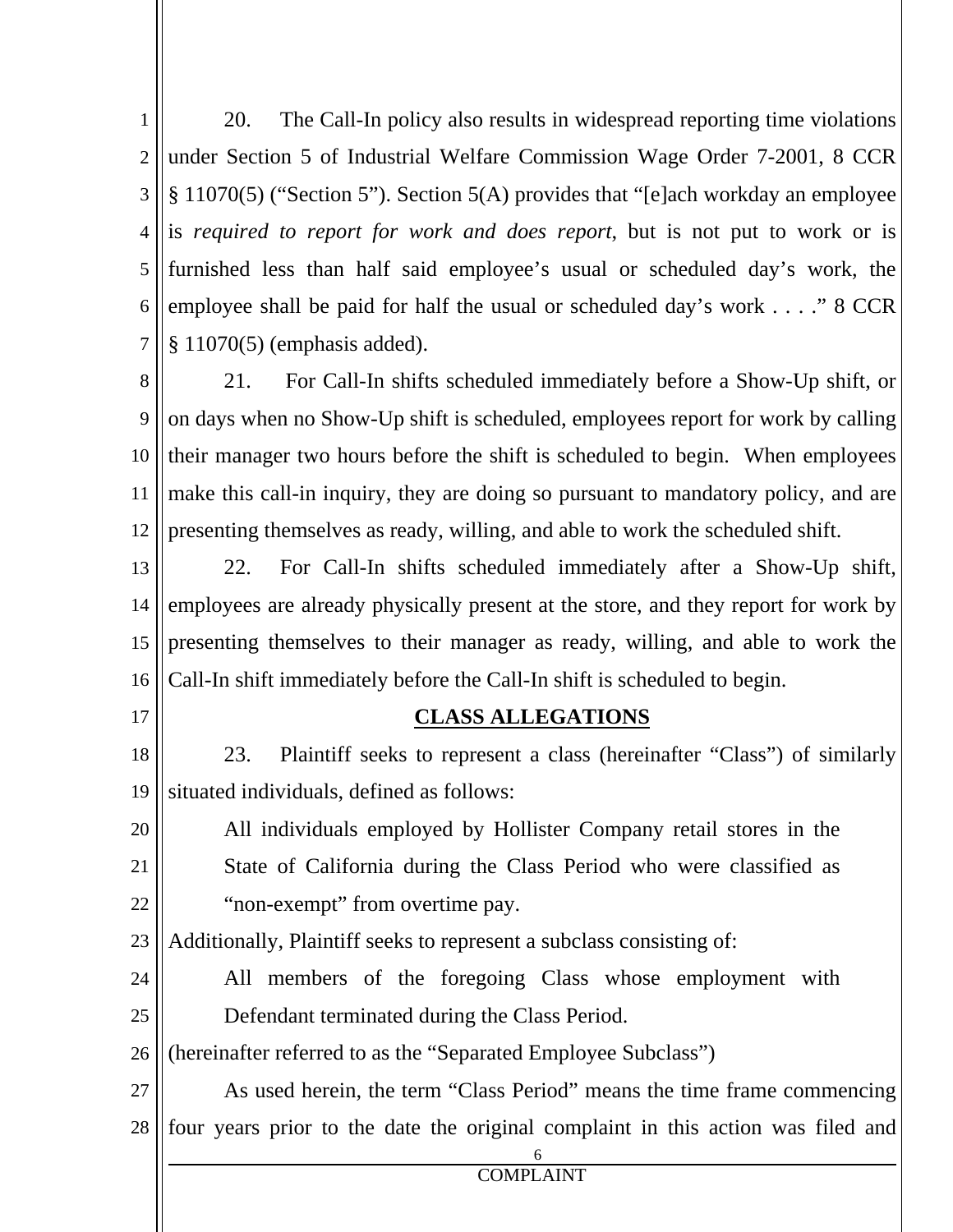1 2 3 4 5 6 7 20. The Call-In policy also results in widespread reporting time violations under Section 5 of Industrial Welfare Commission Wage Order 7-2001, 8 CCR § 11070(5) ("Section 5"). Section 5(A) provides that "[e]ach workday an employee is *required to report for work and does report*, but is not put to work or is furnished less than half said employee's usual or scheduled day's work, the employee shall be paid for half the usual or scheduled day's work . . . ." 8 CCR § 11070(5) (emphasis added).

8 9 10 11 12 21. For Call-In shifts scheduled immediately before a Show-Up shift, or on days when no Show-Up shift is scheduled, employees report for work by calling their manager two hours before the shift is scheduled to begin. When employees make this call-in inquiry, they are doing so pursuant to mandatory policy, and are presenting themselves as ready, willing, and able to work the scheduled shift.

13 14 15 16 22. For Call-In shifts scheduled immediately after a Show-Up shift, employees are already physically present at the store, and they report for work by presenting themselves to their manager as ready, willing, and able to work the Call-In shift immediately before the Call-In shift is scheduled to begin.

17

#### **CLASS ALLEGATIONS**

18 19 23. Plaintiff seeks to represent a class (hereinafter "Class") of similarly situated individuals, defined as follows:

20 21 22 All individuals employed by Hollister Company retail stores in the State of California during the Class Period who were classified as "non-exempt" from overtime pay.

23 Additionally, Plaintiff seeks to represent a subclass consisting of:

24 25 All members of the foregoing Class whose employment with Defendant terminated during the Class Period.

26 (hereinafter referred to as the "Separated Employee Subclass")

6

27 28 As used herein, the term "Class Period" means the time frame commencing four years prior to the date the original complaint in this action was filed and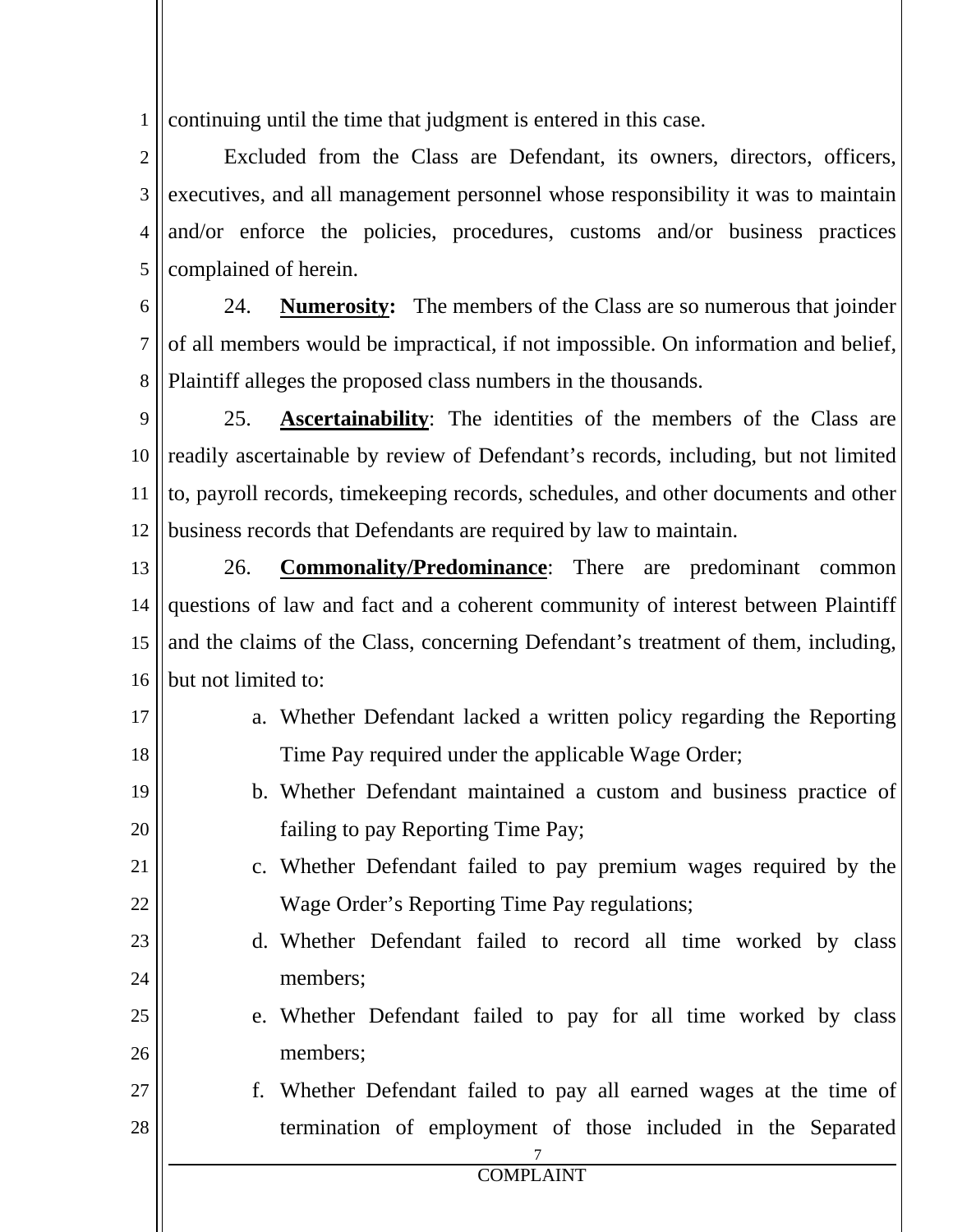1 continuing until the time that judgment is entered in this case.

2 3 4 5 Excluded from the Class are Defendant, its owners, directors, officers, executives, and all management personnel whose responsibility it was to maintain and/or enforce the policies, procedures, customs and/or business practices complained of herein.

6 7 8 24. **Numerosity:** The members of the Class are so numerous that joinder of all members would be impractical, if not impossible. On information and belief, Plaintiff alleges the proposed class numbers in the thousands.

9 10 11 12 25. **Ascertainability**: The identities of the members of the Class are readily ascertainable by review of Defendant's records, including, but not limited to, payroll records, timekeeping records, schedules, and other documents and other business records that Defendants are required by law to maintain.

13 14 15 16 26. **Commonality/Predominance**: There are predominant common questions of law and fact and a coherent community of interest between Plaintiff and the claims of the Class, concerning Defendant's treatment of them, including, but not limited to:

17 18

21

- a. Whether Defendant lacked a written policy regarding the Reporting Time Pay required under the applicable Wage Order;
- 19 20 b. Whether Defendant maintained a custom and business practice of failing to pay Reporting Time Pay;
	- c. Whether Defendant failed to pay premium wages required by the Wage Order's Reporting Time Pay regulations;
- 23 24 d. Whether Defendant failed to record all time worked by class members;
- 25 26 e. Whether Defendant failed to pay for all time worked by class members;
- 7 27 28 f. Whether Defendant failed to pay all earned wages at the time of termination of employment of those included in the Separated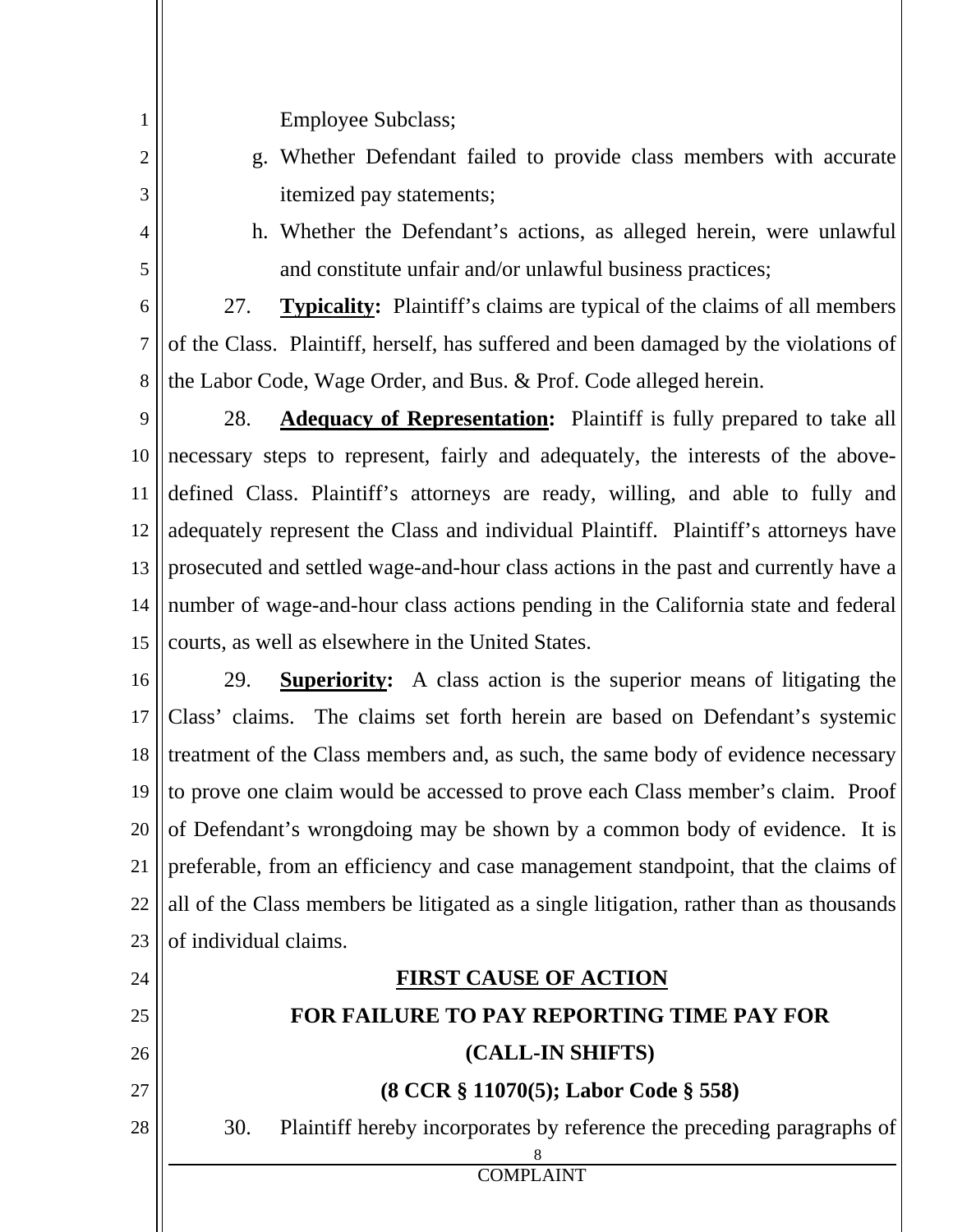Employee Subclass;

- g. Whether Defendant failed to provide class members with accurate itemized pay statements;
- 4

5

1

2

3

h. Whether the Defendant's actions, as alleged herein, were unlawful and constitute unfair and/or unlawful business practices;

6 7 8 27. **Typicality:** Plaintiff's claims are typical of the claims of all members of the Class. Plaintiff, herself, has suffered and been damaged by the violations of the Labor Code, Wage Order, and Bus. & Prof. Code alleged herein.

9 10 11 12 13 14 15 28. **Adequacy of Representation:** Plaintiff is fully prepared to take all necessary steps to represent, fairly and adequately, the interests of the abovedefined Class. Plaintiff's attorneys are ready, willing, and able to fully and adequately represent the Class and individual Plaintiff. Plaintiff's attorneys have prosecuted and settled wage-and-hour class actions in the past and currently have a number of wage-and-hour class actions pending in the California state and federal courts, as well as elsewhere in the United States.

16 17 18 19 20 21 22 23 29. **Superiority:** A class action is the superior means of litigating the Class' claims. The claims set forth herein are based on Defendant's systemic treatment of the Class members and, as such, the same body of evidence necessary to prove one claim would be accessed to prove each Class member's claim. Proof of Defendant's wrongdoing may be shown by a common body of evidence. It is preferable, from an efficiency and case management standpoint, that the claims of all of the Class members be litigated as a single litigation, rather than as thousands of individual claims.

## **FIRST CAUSE OF ACTION**

COMPLAINT

8

# **FOR FAILURE TO PAY REPORTING TIME PAY FOR**

## **(CALL-IN SHIFTS)**

## **(8 CCR § 11070(5); Labor Code § 558)**

30. Plaintiff hereby incorporates by reference the preceding paragraphs of

28

24

25

26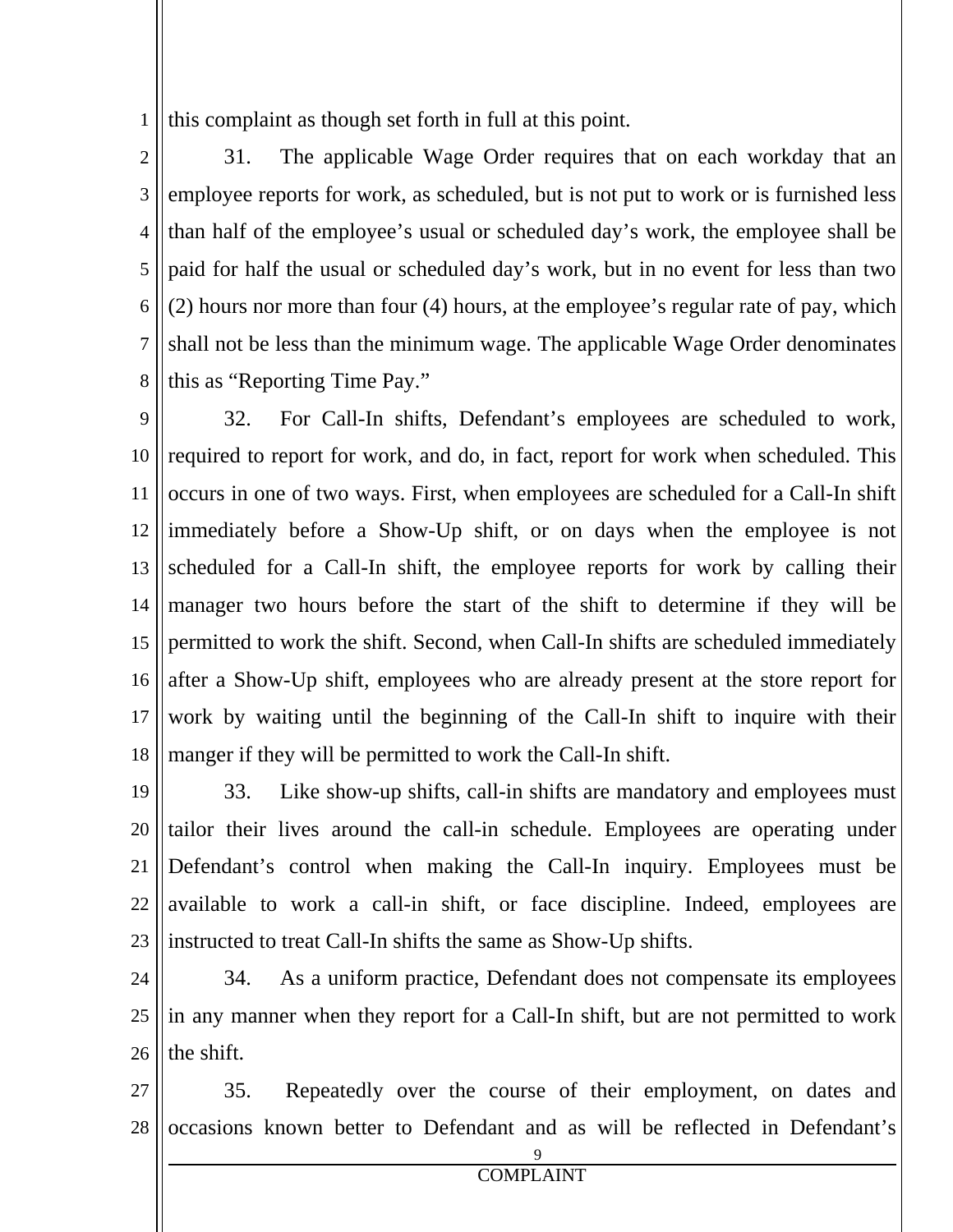1 this complaint as though set forth in full at this point.

2 3 4 5 6 7 8 31. The applicable Wage Order requires that on each workday that an employee reports for work, as scheduled, but is not put to work or is furnished less than half of the employee's usual or scheduled day's work, the employee shall be paid for half the usual or scheduled day's work, but in no event for less than two (2) hours nor more than four (4) hours, at the employee's regular rate of pay, which shall not be less than the minimum wage. The applicable Wage Order denominates this as "Reporting Time Pay."

9 10 11 12 13 14 15 16 17 18 32. For Call-In shifts, Defendant's employees are scheduled to work, required to report for work, and do, in fact, report for work when scheduled. This occurs in one of two ways. First, when employees are scheduled for a Call-In shift immediately before a Show-Up shift, or on days when the employee is not scheduled for a Call-In shift, the employee reports for work by calling their manager two hours before the start of the shift to determine if they will be permitted to work the shift. Second, when Call-In shifts are scheduled immediately after a Show-Up shift, employees who are already present at the store report for work by waiting until the beginning of the Call-In shift to inquire with their manger if they will be permitted to work the Call-In shift.

19 20 21 22 23 33. Like show-up shifts, call-in shifts are mandatory and employees must tailor their lives around the call-in schedule. Employees are operating under Defendant's control when making the Call-In inquiry. Employees must be available to work a call-in shift, or face discipline. Indeed, employees are instructed to treat Call-In shifts the same as Show-Up shifts.

24 25 26 34. As a uniform practice, Defendant does not compensate its employees in any manner when they report for a Call-In shift, but are not permitted to work the shift.

27 28 35. Repeatedly over the course of their employment, on dates and occasions known better to Defendant and as will be reflected in Defendant's

9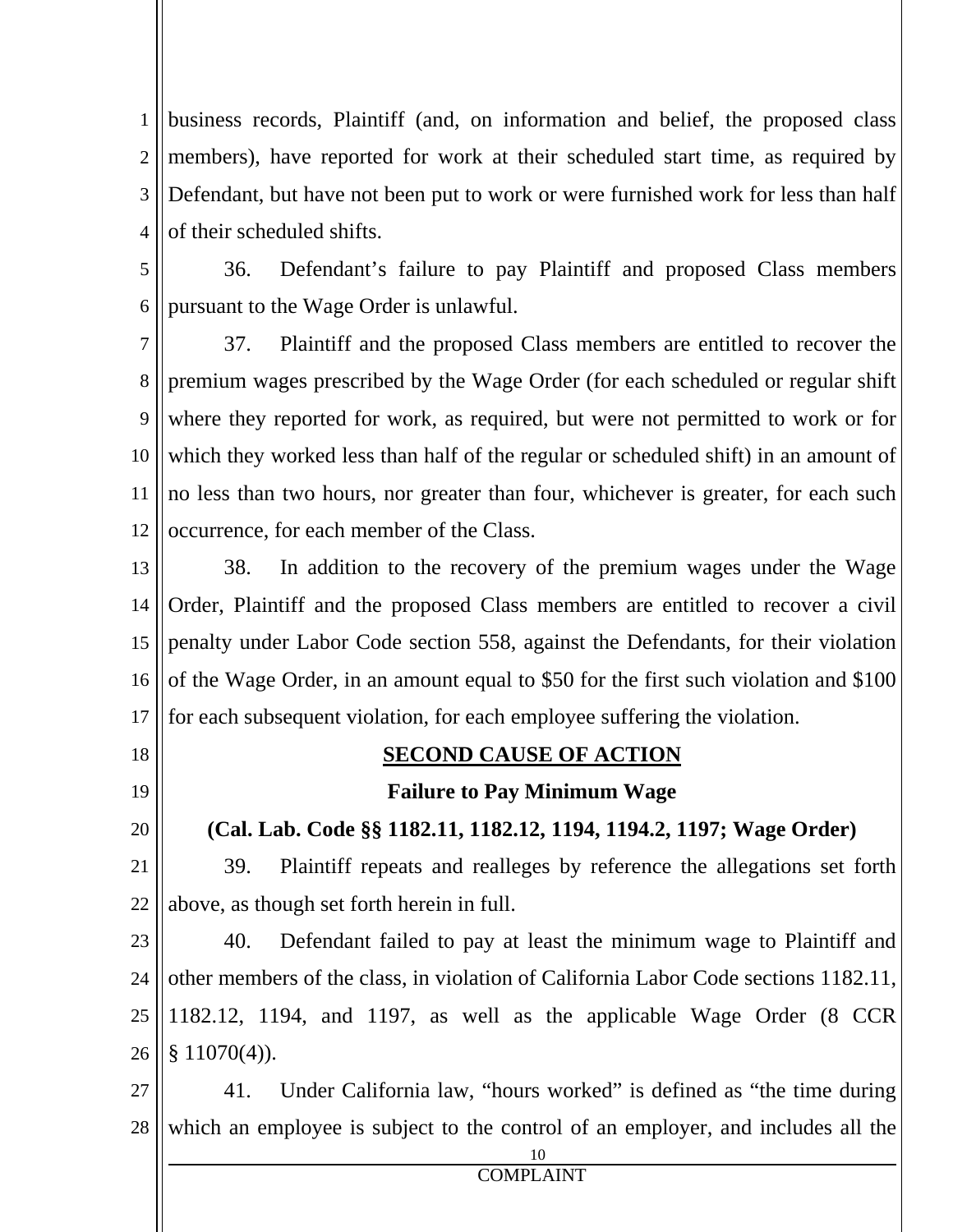1 2 3 4 business records, Plaintiff (and, on information and belief, the proposed class members), have reported for work at their scheduled start time, as required by Defendant, but have not been put to work or were furnished work for less than half of their scheduled shifts.

5

6

36. Defendant's failure to pay Plaintiff and proposed Class members pursuant to the Wage Order is unlawful.

7 8 9 10 11 12 37. Plaintiff and the proposed Class members are entitled to recover the premium wages prescribed by the Wage Order (for each scheduled or regular shift where they reported for work, as required, but were not permitted to work or for which they worked less than half of the regular or scheduled shift) in an amount of no less than two hours, nor greater than four, whichever is greater, for each such occurrence, for each member of the Class.

13 14 15 16 17 38. In addition to the recovery of the premium wages under the Wage Order, Plaintiff and the proposed Class members are entitled to recover a civil penalty under Labor Code section 558, against the Defendants, for their violation of the Wage Order, in an amount equal to \$50 for the first such violation and \$100 for each subsequent violation, for each employee suffering the violation.

- 18
- 19

20

## **SECOND CAUSE OF ACTION**

**Failure to Pay Minimum Wage** 

**(Cal. Lab. Code §§ 1182.11, 1182.12, 1194, 1194.2, 1197; Wage Order)** 

21 22 39. Plaintiff repeats and realleges by reference the allegations set forth above, as though set forth herein in full.

23 24 25 26 40. Defendant failed to pay at least the minimum wage to Plaintiff and other members of the class, in violation of California Labor Code sections 1182.11, 1182.12, 1194, and 1197, as well as the applicable Wage Order (8 CCR  $$11070(4)$ .

27 28 41. Under California law, "hours worked" is defined as "the time during which an employee is subject to the control of an employer, and includes all the

10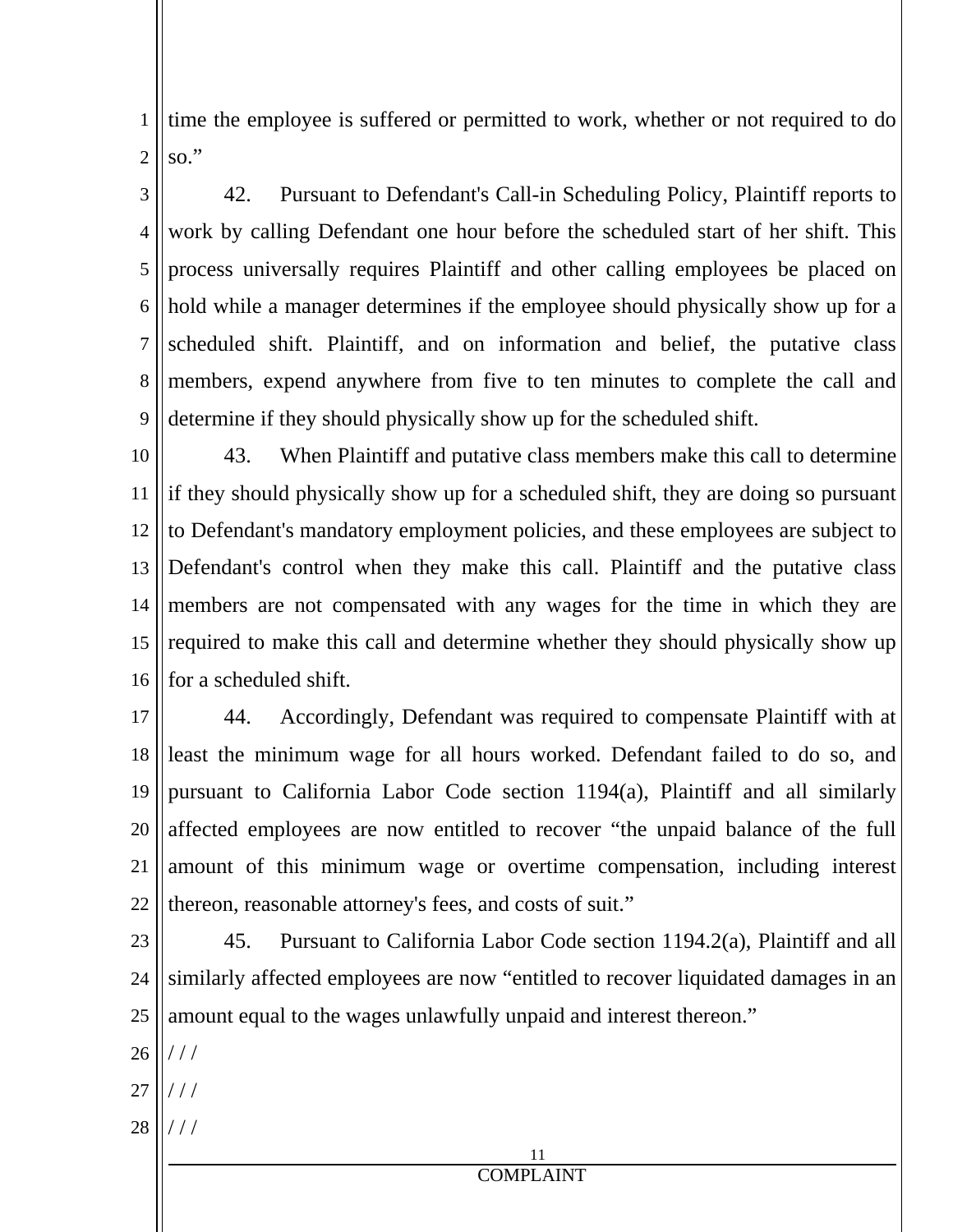1 2 time the employee is suffered or permitted to work, whether or not required to do  $\mathrm{so."}$ 

3 4 5 6 7 8 9 42. Pursuant to Defendant's Call-in Scheduling Policy, Plaintiff reports to work by calling Defendant one hour before the scheduled start of her shift. This process universally requires Plaintiff and other calling employees be placed on hold while a manager determines if the employee should physically show up for a scheduled shift. Plaintiff, and on information and belief, the putative class members, expend anywhere from five to ten minutes to complete the call and determine if they should physically show up for the scheduled shift.

10 11 12 13 14 15 16 43. When Plaintiff and putative class members make this call to determine if they should physically show up for a scheduled shift, they are doing so pursuant to Defendant's mandatory employment policies, and these employees are subject to Defendant's control when they make this call. Plaintiff and the putative class members are not compensated with any wages for the time in which they are required to make this call and determine whether they should physically show up for a scheduled shift.

17 18 19 20 21 22 44. Accordingly, Defendant was required to compensate Plaintiff with at least the minimum wage for all hours worked. Defendant failed to do so, and pursuant to California Labor Code section 1194(a), Plaintiff and all similarly affected employees are now entitled to recover "the unpaid balance of the full amount of this minimum wage or overtime compensation, including interest thereon, reasonable attorney's fees, and costs of suit."

23

24 25 45. Pursuant to California Labor Code section 1194.2(a), Plaintiff and all similarly affected employees are now "entitled to recover liquidated damages in an amount equal to the wages unlawfully unpaid and interest thereon."

26  $//$ 

- 27 / / /
- 28 / / /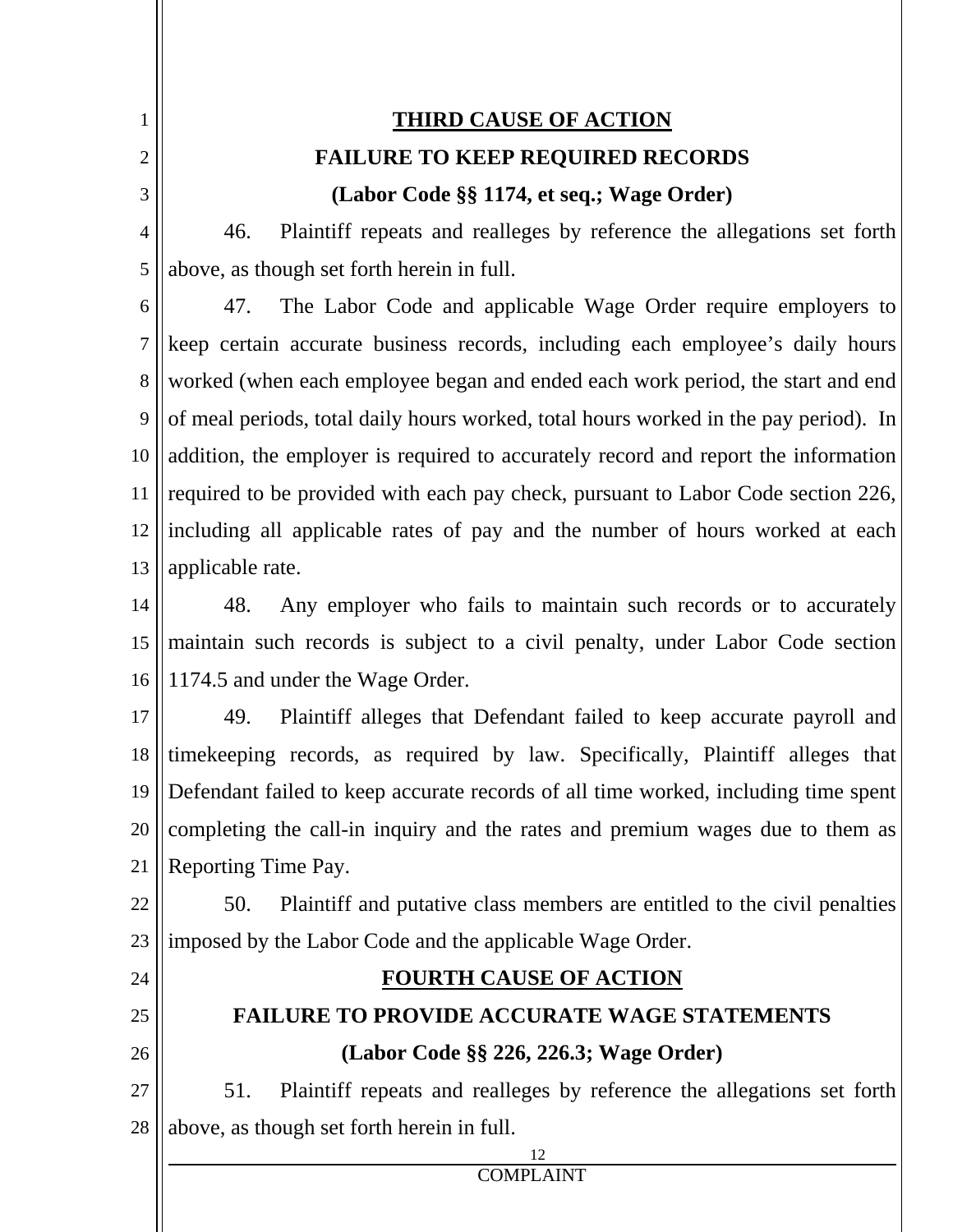1 2 3 4 5 6 7 8 9 10 11 12 13 14 15 16 17 18 19 20 21 22 23 24 25 26 27 28 **THIRD CAUSE OF ACTION FAILURE TO KEEP REQUIRED RECORDS (Labor Code §§ 1174, et seq.; Wage Order)**  46. Plaintiff repeats and realleges by reference the allegations set forth above, as though set forth herein in full. 47. The Labor Code and applicable Wage Order require employers to keep certain accurate business records, including each employee's daily hours worked (when each employee began and ended each work period, the start and end of meal periods, total daily hours worked, total hours worked in the pay period). In addition, the employer is required to accurately record and report the information required to be provided with each pay check, pursuant to Labor Code section 226, including all applicable rates of pay and the number of hours worked at each applicable rate. 48. Any employer who fails to maintain such records or to accurately maintain such records is subject to a civil penalty, under Labor Code section 1174.5 and under the Wage Order. 49. Plaintiff alleges that Defendant failed to keep accurate payroll and timekeeping records, as required by law. Specifically, Plaintiff alleges that Defendant failed to keep accurate records of all time worked, including time spent completing the call-in inquiry and the rates and premium wages due to them as Reporting Time Pay. 50. Plaintiff and putative class members are entitled to the civil penalties imposed by the Labor Code and the applicable Wage Order. **FOURTH CAUSE OF ACTION FAILURE TO PROVIDE ACCURATE WAGE STATEMENTS (Labor Code §§ 226, 226.3; Wage Order)**  51. Plaintiff repeats and realleges by reference the allegations set forth above, as though set forth herein in full.

COMPLAINT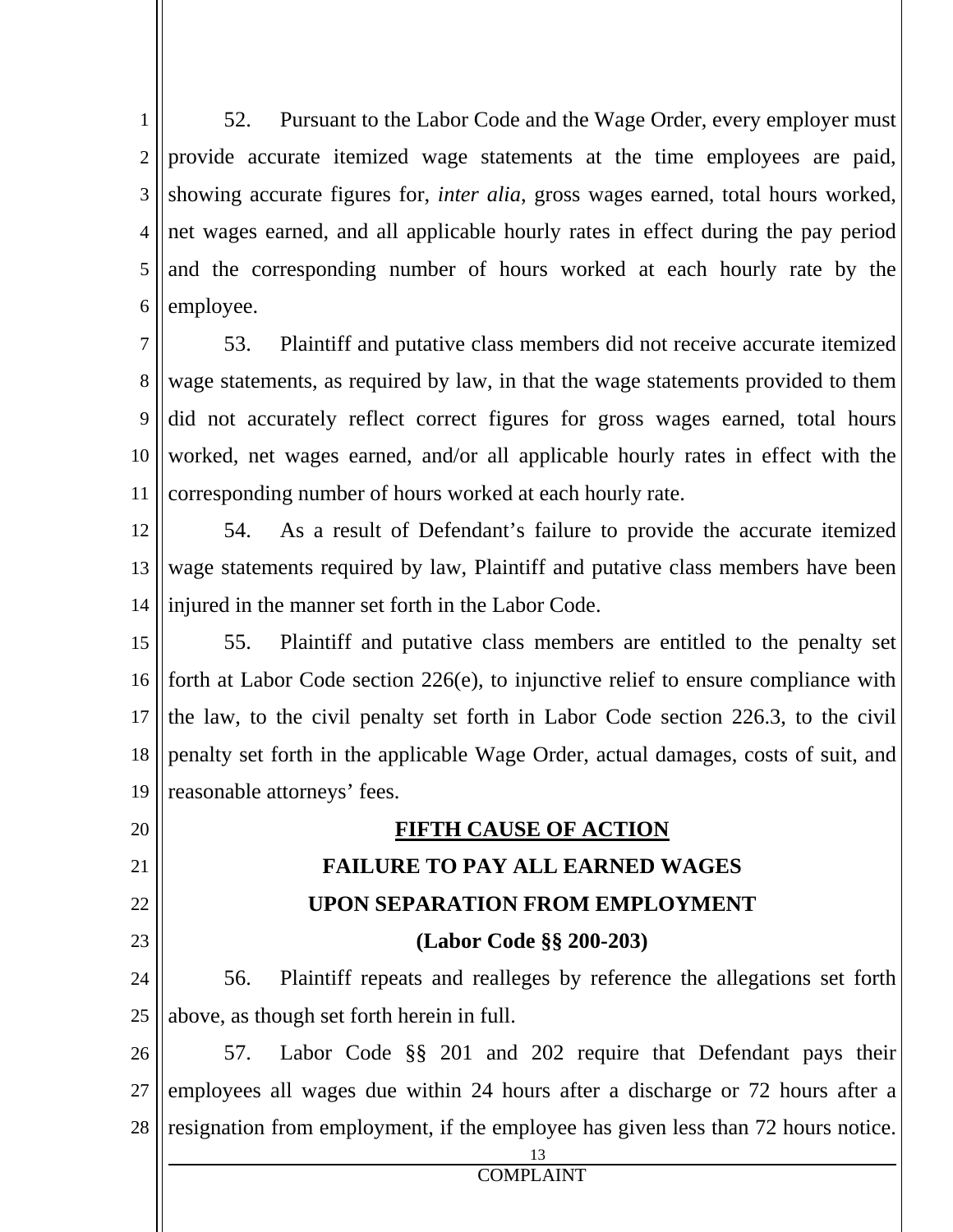1 2 3 4 5 6 52. Pursuant to the Labor Code and the Wage Order, every employer must provide accurate itemized wage statements at the time employees are paid, showing accurate figures for, *inter alia*, gross wages earned, total hours worked, net wages earned, and all applicable hourly rates in effect during the pay period and the corresponding number of hours worked at each hourly rate by the employee.

7 8 9 10 11 53. Plaintiff and putative class members did not receive accurate itemized wage statements, as required by law, in that the wage statements provided to them did not accurately reflect correct figures for gross wages earned, total hours worked, net wages earned, and/or all applicable hourly rates in effect with the corresponding number of hours worked at each hourly rate.

- 12 13 14 54. As a result of Defendant's failure to provide the accurate itemized wage statements required by law, Plaintiff and putative class members have been injured in the manner set forth in the Labor Code.
- 15 16 17 18 19 55. Plaintiff and putative class members are entitled to the penalty set forth at Labor Code section 226(e), to injunctive relief to ensure compliance with the law, to the civil penalty set forth in Labor Code section 226.3, to the civil penalty set forth in the applicable Wage Order, actual damages, costs of suit, and reasonable attorneys' fees.

# **FIFTH CAUSE OF ACTION FAILURE TO PAY ALL EARNED WAGES UPON SEPARATION FROM EMPLOYMENT (Labor Code §§ 200-203)**

- 24 25 56. Plaintiff repeats and realleges by reference the allegations set forth above, as though set forth herein in full.
- 26 27 28 57. Labor Code §§ 201 and 202 require that Defendant pays their employees all wages due within 24 hours after a discharge or 72 hours after a resignation from employment, if the employee has given less than 72 hours notice.

13

20

21

22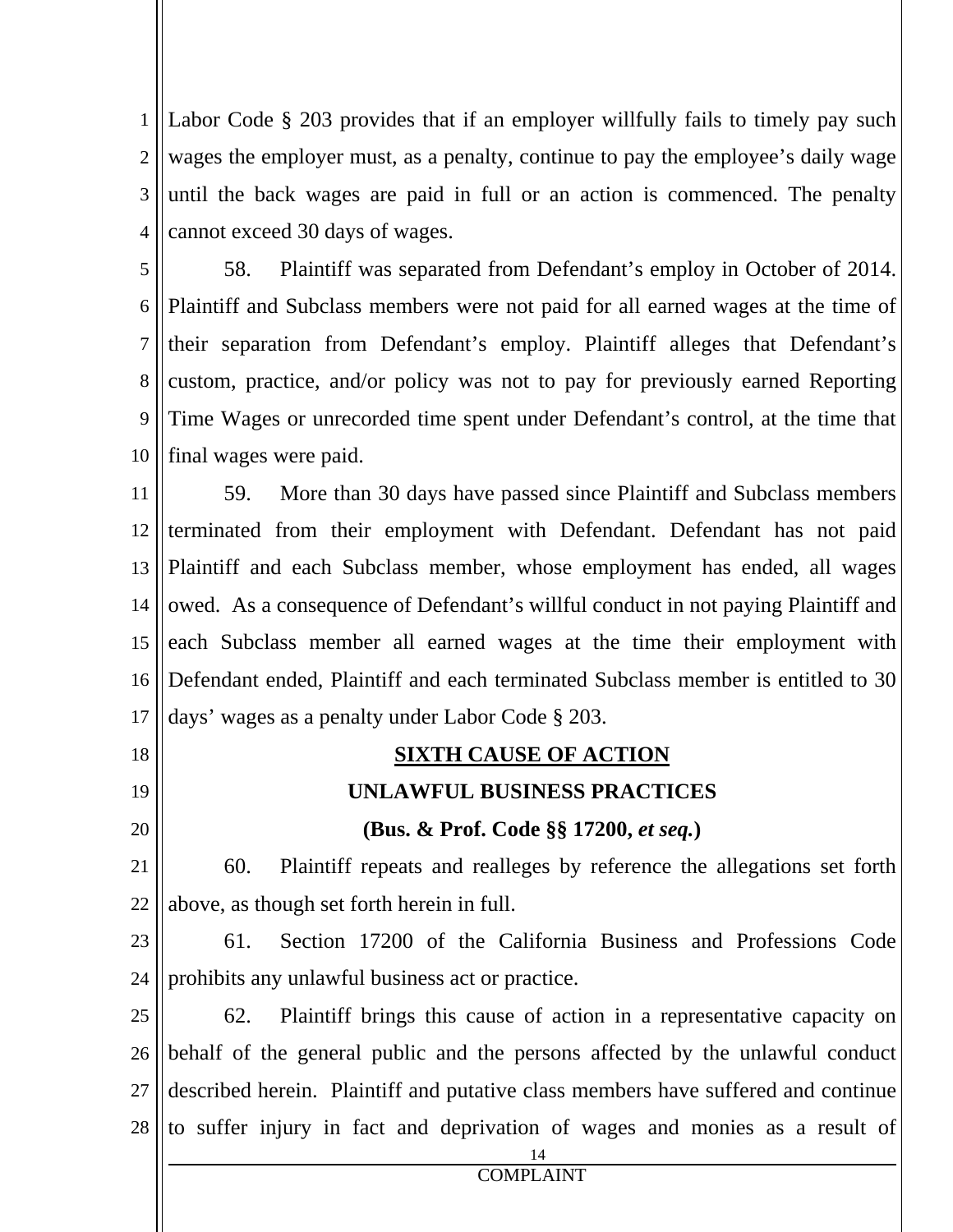1 2 3 4 Labor Code § 203 provides that if an employer willfully fails to timely pay such wages the employer must, as a penalty, continue to pay the employee's daily wage until the back wages are paid in full or an action is commenced. The penalty cannot exceed 30 days of wages.

5 6 7 8 9 10 58. Plaintiff was separated from Defendant's employ in October of 2014. Plaintiff and Subclass members were not paid for all earned wages at the time of their separation from Defendant's employ. Plaintiff alleges that Defendant's custom, practice, and/or policy was not to pay for previously earned Reporting Time Wages or unrecorded time spent under Defendant's control, at the time that final wages were paid.

11 12 13 14 15 16 17 59. More than 30 days have passed since Plaintiff and Subclass members terminated from their employment with Defendant. Defendant has not paid Plaintiff and each Subclass member, whose employment has ended, all wages owed. As a consequence of Defendant's willful conduct in not paying Plaintiff and each Subclass member all earned wages at the time their employment with Defendant ended, Plaintiff and each terminated Subclass member is entitled to 30 days' wages as a penalty under Labor Code § 203.

 14 COMPLAINT 18 19 20 21 22 23 24 25 26 27 28 **SIXTH CAUSE OF ACTION UNLAWFUL BUSINESS PRACTICES (Bus. & Prof. Code §§ 17200,** *et seq.***)**  60. Plaintiff repeats and realleges by reference the allegations set forth above, as though set forth herein in full. 61. Section 17200 of the California Business and Professions Code prohibits any unlawful business act or practice. 62. Plaintiff brings this cause of action in a representative capacity on behalf of the general public and the persons affected by the unlawful conduct described herein. Plaintiff and putative class members have suffered and continue to suffer injury in fact and deprivation of wages and monies as a result of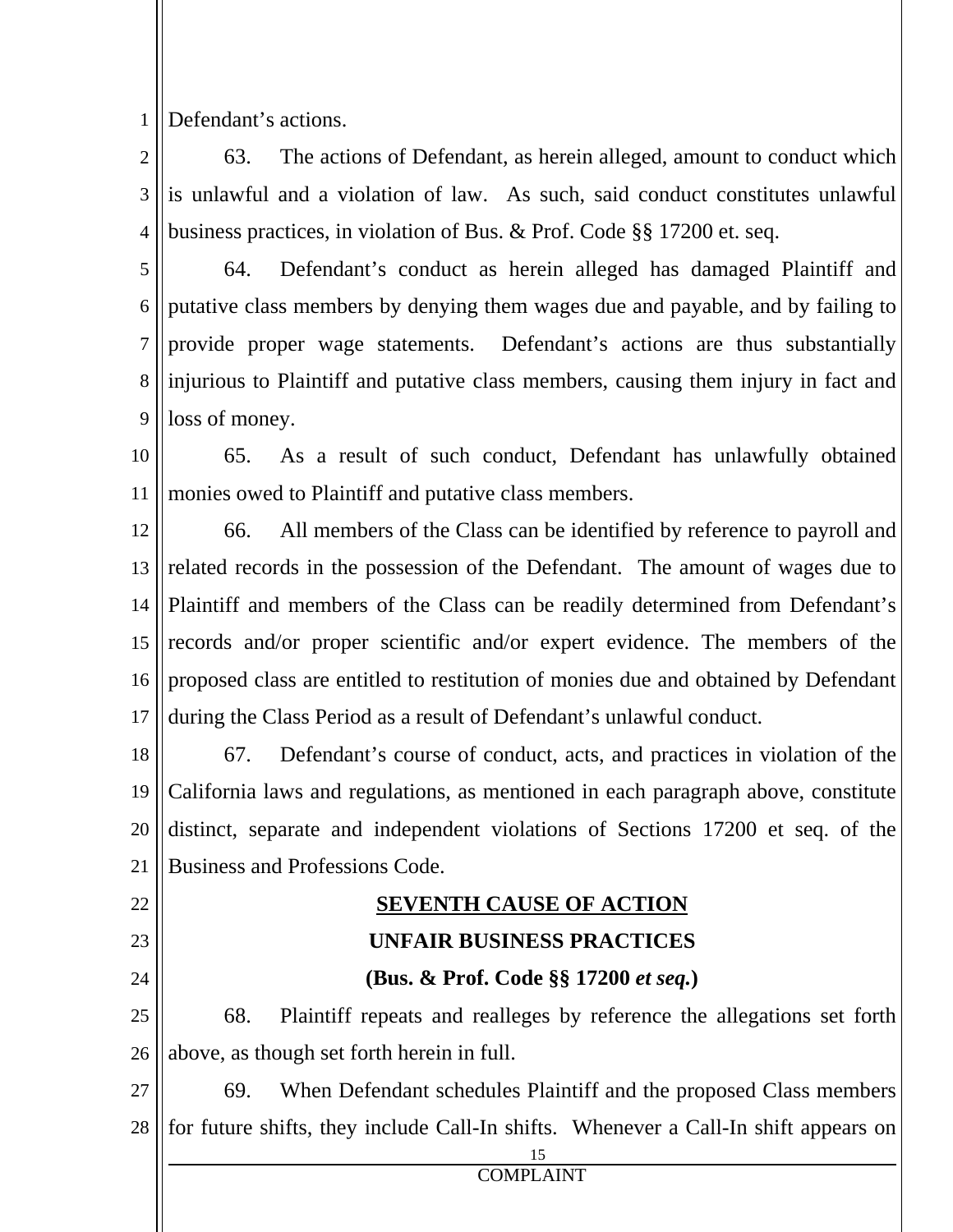1 Defendant's actions.

2 3 4 63. The actions of Defendant, as herein alleged, amount to conduct which is unlawful and a violation of law. As such, said conduct constitutes unlawful business practices, in violation of Bus. & Prof. Code §§ 17200 et. seq.

5 6 7 8 9 64. Defendant's conduct as herein alleged has damaged Plaintiff and putative class members by denying them wages due and payable, and by failing to provide proper wage statements. Defendant's actions are thus substantially injurious to Plaintiff and putative class members, causing them injury in fact and loss of money.

10 11 65. As a result of such conduct, Defendant has unlawfully obtained monies owed to Plaintiff and putative class members.

12 13 14 15 16 17 66. All members of the Class can be identified by reference to payroll and related records in the possession of the Defendant. The amount of wages due to Plaintiff and members of the Class can be readily determined from Defendant's records and/or proper scientific and/or expert evidence. The members of the proposed class are entitled to restitution of monies due and obtained by Defendant during the Class Period as a result of Defendant's unlawful conduct.

18 19 20 21 67. Defendant's course of conduct, acts, and practices in violation of the California laws and regulations, as mentioned in each paragraph above, constitute distinct, separate and independent violations of Sections 17200 et seq. of the Business and Professions Code.

22 23

24

## **SEVENTH CAUSE OF ACTION**

## **UNFAIR BUSINESS PRACTICES**

## **(Bus. & Prof. Code §§ 17200** *et seq.***)**

25 26 68. Plaintiff repeats and realleges by reference the allegations set forth above, as though set forth herein in full.

27 28 69. When Defendant schedules Plaintiff and the proposed Class members for future shifts, they include Call-In shifts. Whenever a Call-In shift appears on

15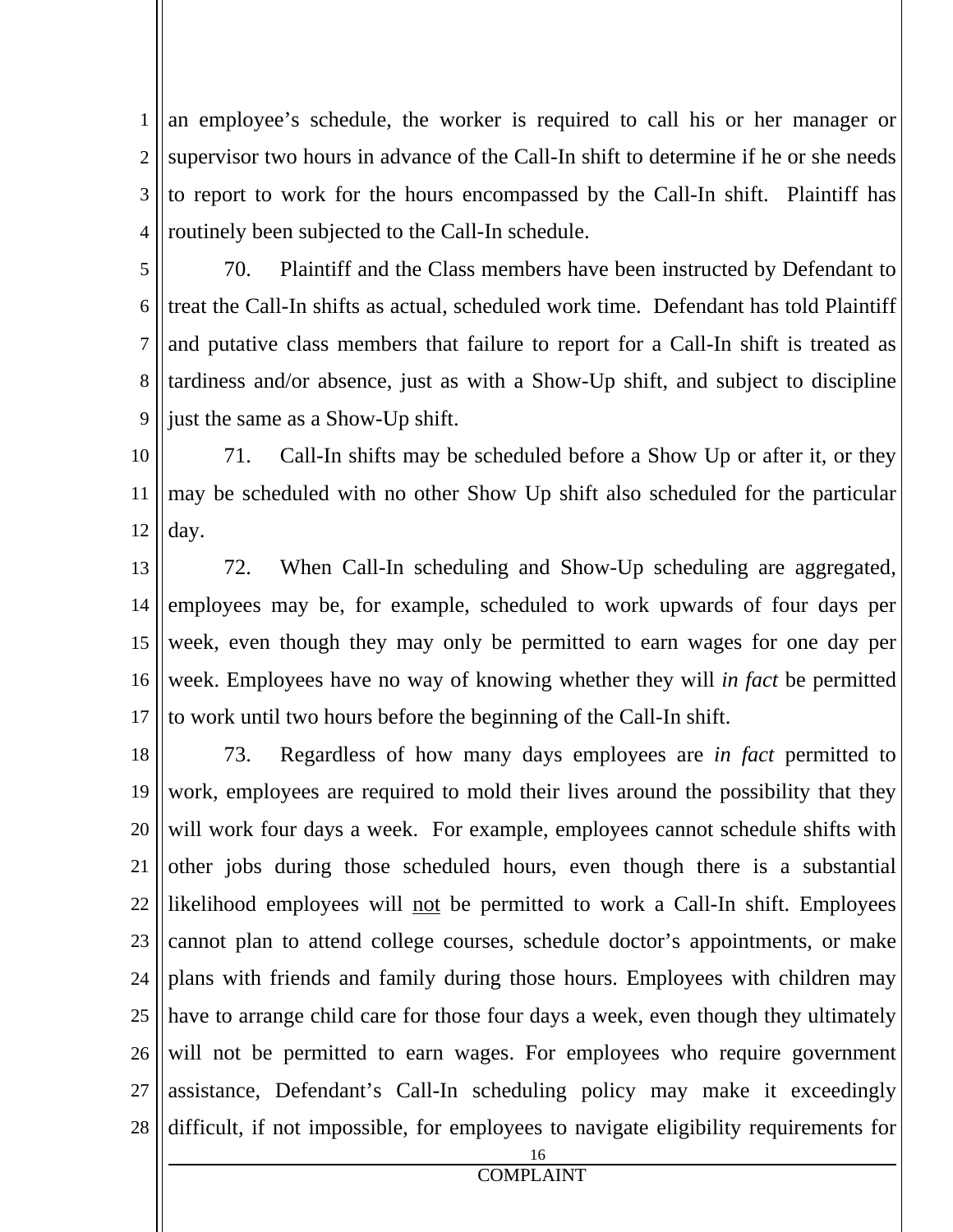1 2 3 4 an employee's schedule, the worker is required to call his or her manager or supervisor two hours in advance of the Call-In shift to determine if he or she needs to report to work for the hours encompassed by the Call-In shift. Plaintiff has routinely been subjected to the Call-In schedule.

5

6 7 8 9 70. Plaintiff and the Class members have been instructed by Defendant to treat the Call-In shifts as actual, scheduled work time. Defendant has told Plaintiff and putative class members that failure to report for a Call-In shift is treated as tardiness and/or absence, just as with a Show-Up shift, and subject to discipline just the same as a Show-Up shift.

10 11 12 71. Call-In shifts may be scheduled before a Show Up or after it, or they may be scheduled with no other Show Up shift also scheduled for the particular day.

13 14 15 16 17 72. When Call-In scheduling and Show-Up scheduling are aggregated, employees may be, for example, scheduled to work upwards of four days per week, even though they may only be permitted to earn wages for one day per week. Employees have no way of knowing whether they will *in fact* be permitted to work until two hours before the beginning of the Call-In shift.

18 19 20 21 22 23 24 25 26 27 28 73. Regardless of how many days employees are *in fact* permitted to work, employees are required to mold their lives around the possibility that they will work four days a week. For example, employees cannot schedule shifts with other jobs during those scheduled hours, even though there is a substantial likelihood employees will not be permitted to work a Call-In shift. Employees cannot plan to attend college courses, schedule doctor's appointments, or make plans with friends and family during those hours. Employees with children may have to arrange child care for those four days a week, even though they ultimately will not be permitted to earn wages. For employees who require government assistance, Defendant's Call-In scheduling policy may make it exceedingly difficult, if not impossible, for employees to navigate eligibility requirements for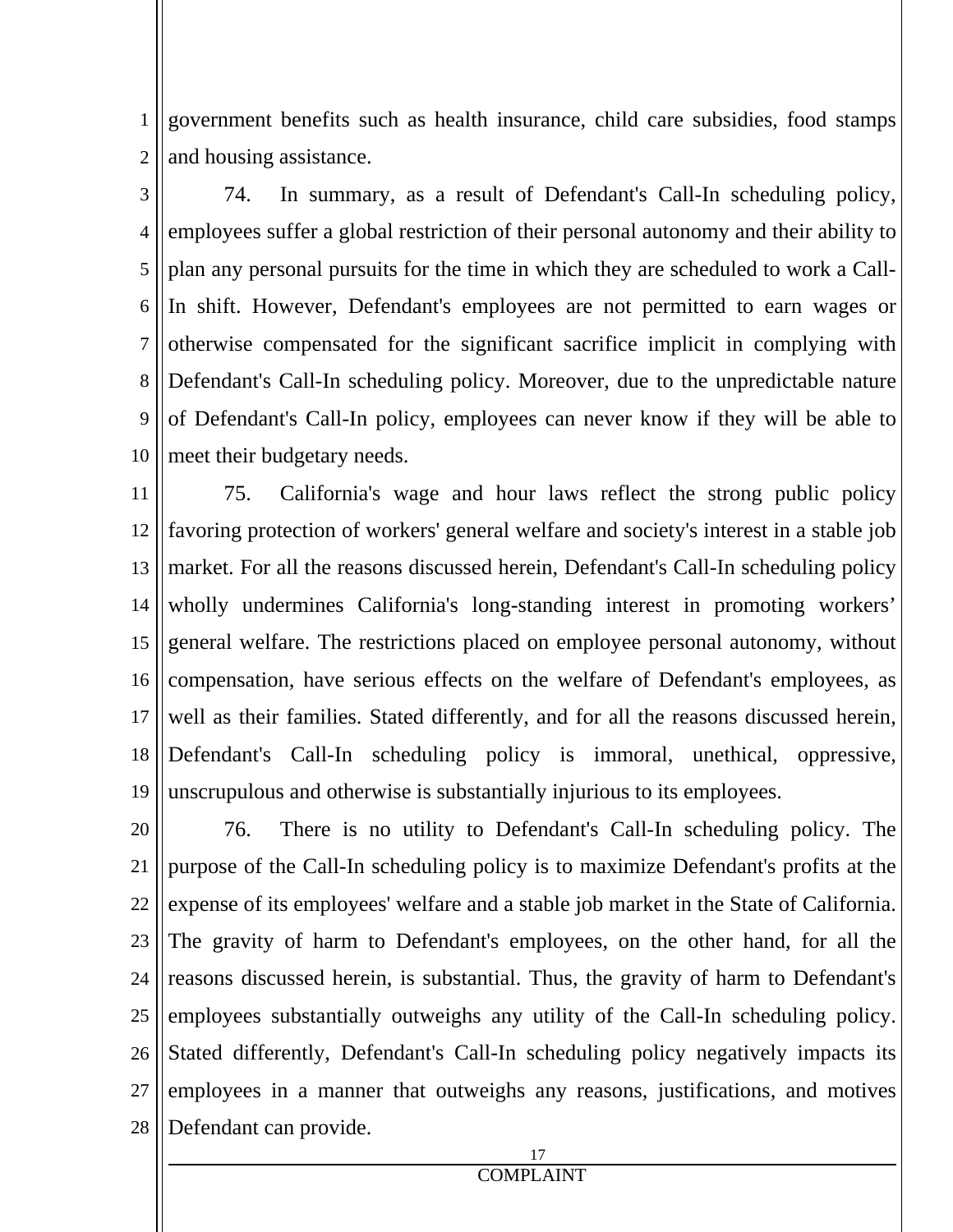1 2 government benefits such as health insurance, child care subsidies, food stamps and housing assistance.

3 4 5 6 7 8 9 10 74. In summary, as a result of Defendant's Call-In scheduling policy, employees suffer a global restriction of their personal autonomy and their ability to plan any personal pursuits for the time in which they are scheduled to work a Call-In shift. However, Defendant's employees are not permitted to earn wages or otherwise compensated for the significant sacrifice implicit in complying with Defendant's Call-In scheduling policy. Moreover, due to the unpredictable nature of Defendant's Call-In policy, employees can never know if they will be able to meet their budgetary needs.

11 12 13 14 15 16 17 18 19 75. California's wage and hour laws reflect the strong public policy favoring protection of workers' general welfare and society's interest in a stable job market. For all the reasons discussed herein, Defendant's Call-In scheduling policy wholly undermines California's long-standing interest in promoting workers' general welfare. The restrictions placed on employee personal autonomy, without compensation, have serious effects on the welfare of Defendant's employees, as well as their families. Stated differently, and for all the reasons discussed herein, Defendant's Call-In scheduling policy is immoral, unethical, oppressive, unscrupulous and otherwise is substantially injurious to its employees.

20 21 22 23 24 25 26 27 28 76. There is no utility to Defendant's Call-In scheduling policy. The purpose of the Call-In scheduling policy is to maximize Defendant's profits at the expense of its employees' welfare and a stable job market in the State of California. The gravity of harm to Defendant's employees, on the other hand, for all the reasons discussed herein, is substantial. Thus, the gravity of harm to Defendant's employees substantially outweighs any utility of the Call-In scheduling policy. Stated differently, Defendant's Call-In scheduling policy negatively impacts its employees in a manner that outweighs any reasons, justifications, and motives Defendant can provide.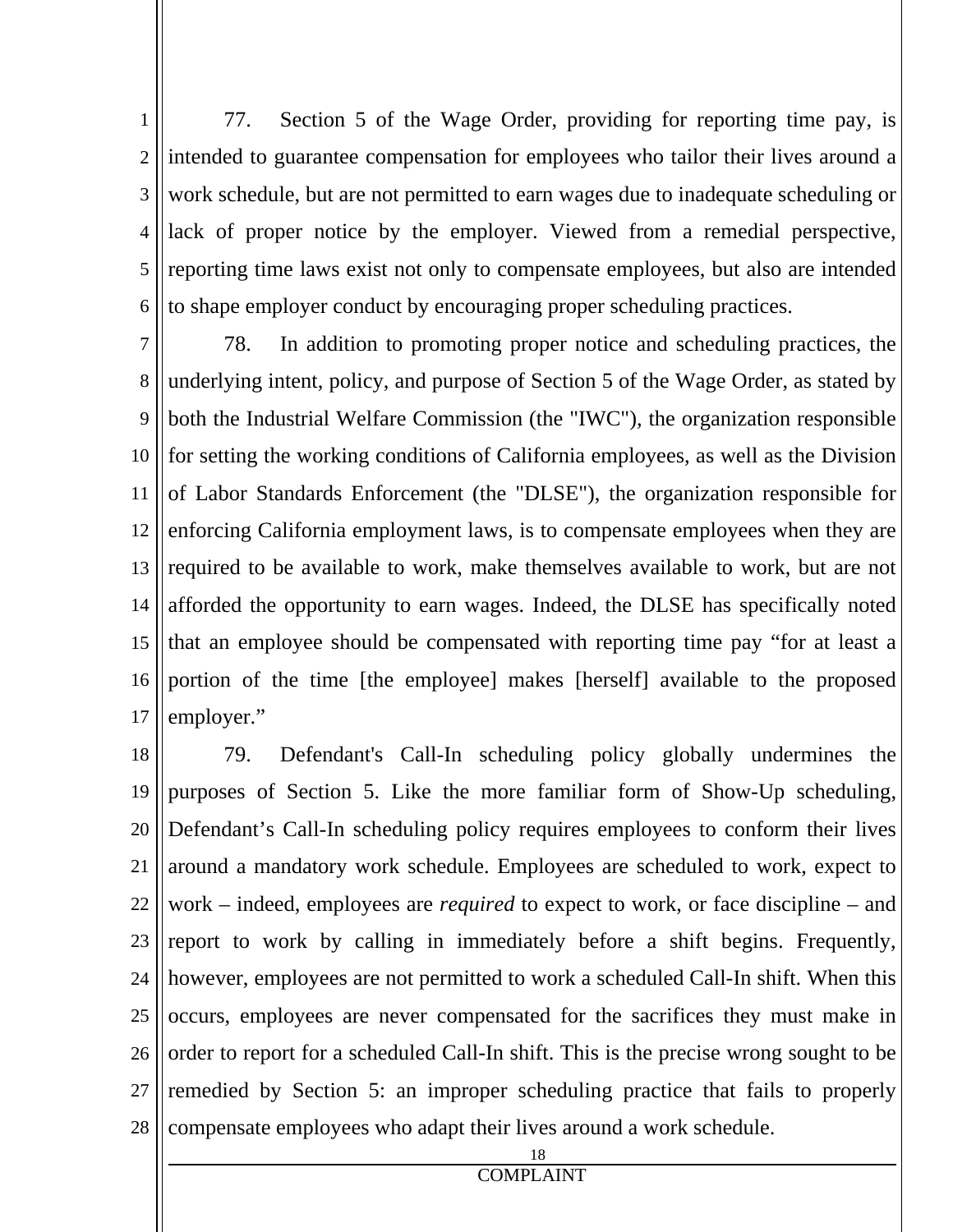1 2 3 4 5 6 77. Section 5 of the Wage Order, providing for reporting time pay, is intended to guarantee compensation for employees who tailor their lives around a work schedule, but are not permitted to earn wages due to inadequate scheduling or lack of proper notice by the employer. Viewed from a remedial perspective, reporting time laws exist not only to compensate employees, but also are intended to shape employer conduct by encouraging proper scheduling practices.

7 8 9 10 11 12 13 14 15 16 17 78. In addition to promoting proper notice and scheduling practices, the underlying intent, policy, and purpose of Section 5 of the Wage Order, as stated by both the Industrial Welfare Commission (the "IWC"), the organization responsible for setting the working conditions of California employees, as well as the Division of Labor Standards Enforcement (the "DLSE"), the organization responsible for enforcing California employment laws, is to compensate employees when they are required to be available to work, make themselves available to work, but are not afforded the opportunity to earn wages. Indeed, the DLSE has specifically noted that an employee should be compensated with reporting time pay "for at least a portion of the time [the employee] makes [herself] available to the proposed employer."

18 19 20 21 22 23 24 25 26 27 28 79. Defendant's Call-In scheduling policy globally undermines the purposes of Section 5. Like the more familiar form of Show-Up scheduling, Defendant's Call-In scheduling policy requires employees to conform their lives around a mandatory work schedule. Employees are scheduled to work, expect to work – indeed, employees are *required* to expect to work, or face discipline – and report to work by calling in immediately before a shift begins. Frequently, however, employees are not permitted to work a scheduled Call-In shift. When this occurs, employees are never compensated for the sacrifices they must make in order to report for a scheduled Call-In shift. This is the precise wrong sought to be remedied by Section 5: an improper scheduling practice that fails to properly compensate employees who adapt their lives around a work schedule.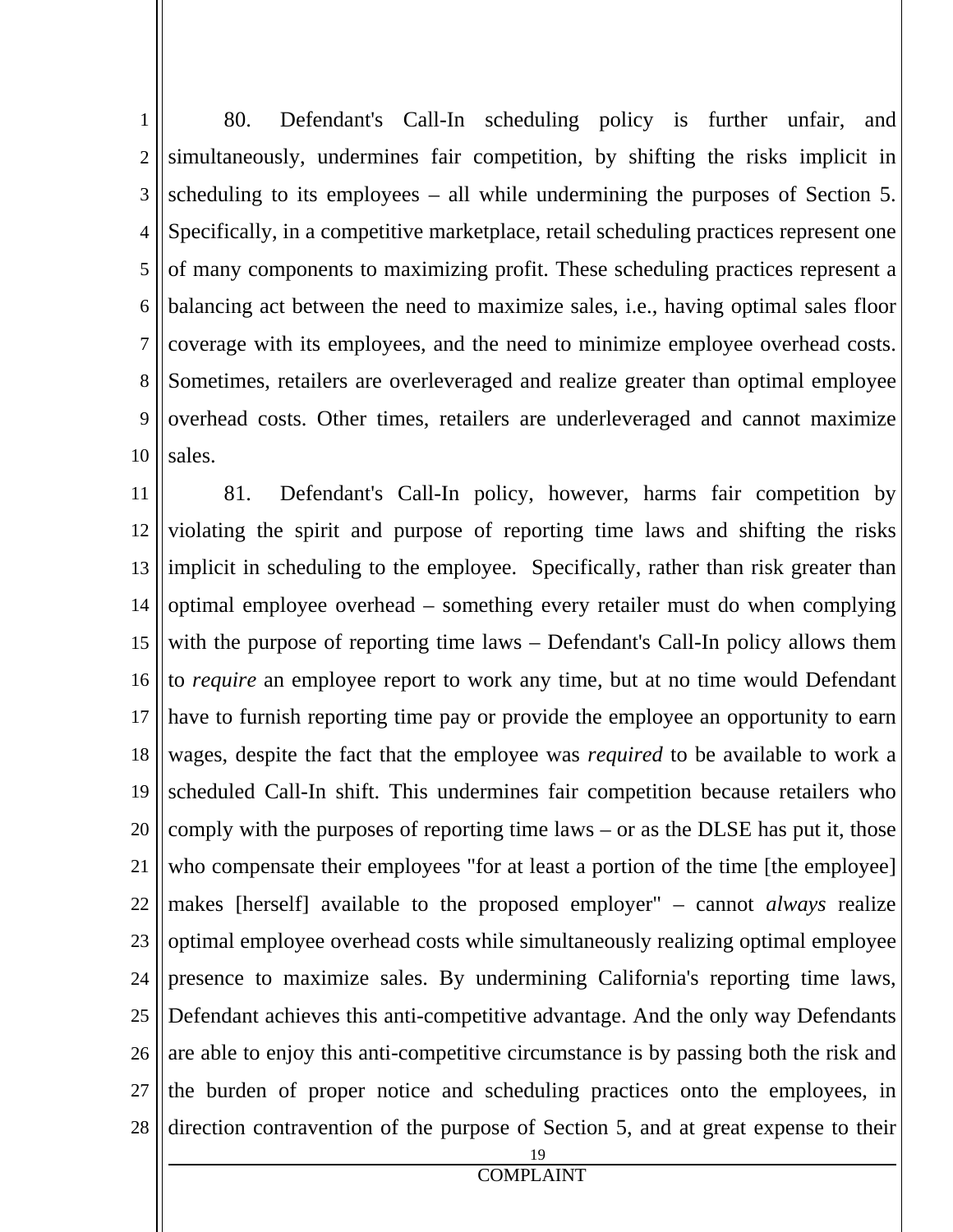1 2 3 4 5 6 7 8 9 10 80. Defendant's Call-In scheduling policy is further unfair, and simultaneously, undermines fair competition, by shifting the risks implicit in scheduling to its employees – all while undermining the purposes of Section 5. Specifically, in a competitive marketplace, retail scheduling practices represent one of many components to maximizing profit. These scheduling practices represent a balancing act between the need to maximize sales, i.e., having optimal sales floor coverage with its employees, and the need to minimize employee overhead costs. Sometimes, retailers are overleveraged and realize greater than optimal employee overhead costs. Other times, retailers are underleveraged and cannot maximize sales.

11 12 13 14 15 16 17 18 19 20 21 22 23 24 25 26 27 28 81. Defendant's Call-In policy, however, harms fair competition by violating the spirit and purpose of reporting time laws and shifting the risks implicit in scheduling to the employee. Specifically, rather than risk greater than optimal employee overhead – something every retailer must do when complying with the purpose of reporting time laws – Defendant's Call-In policy allows them to *require* an employee report to work any time, but at no time would Defendant have to furnish reporting time pay or provide the employee an opportunity to earn wages, despite the fact that the employee was *required* to be available to work a scheduled Call-In shift. This undermines fair competition because retailers who comply with the purposes of reporting time laws – or as the DLSE has put it, those who compensate their employees "for at least a portion of the time [the employee] makes [herself] available to the proposed employer" – cannot *always* realize optimal employee overhead costs while simultaneously realizing optimal employee presence to maximize sales. By undermining California's reporting time laws, Defendant achieves this anti-competitive advantage. And the only way Defendants are able to enjoy this anti-competitive circumstance is by passing both the risk and the burden of proper notice and scheduling practices onto the employees, in direction contravention of the purpose of Section 5, and at great expense to their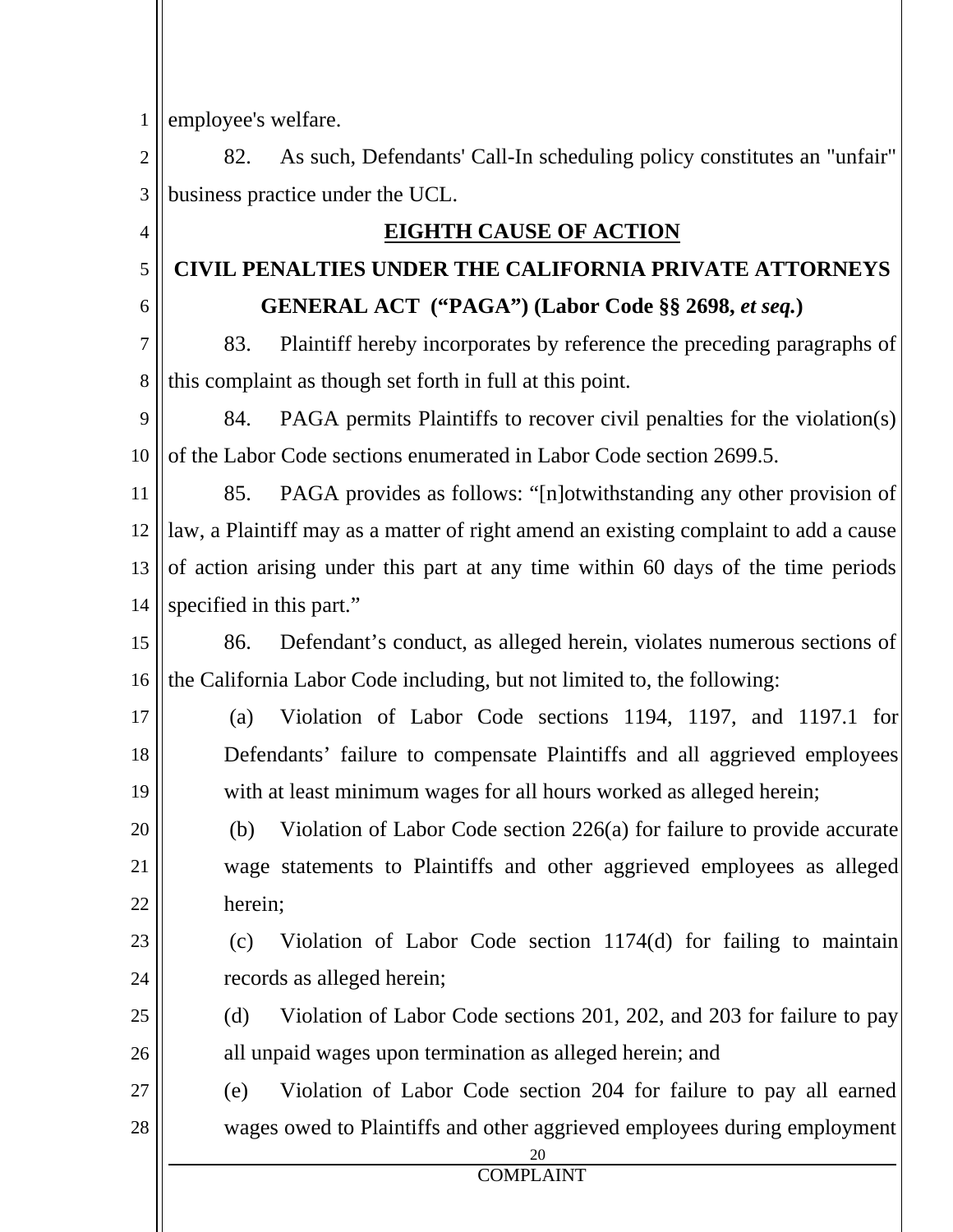1 employee's welfare.

4

5

6

20

21

22

2 3 82. As such, Defendants' Call-In scheduling policy constitutes an "unfair" business practice under the UCL.

## **EIGHTH CAUSE OF ACTION**

# **CIVIL PENALTIES UNDER THE CALIFORNIA PRIVATE ATTORNEYS GENERAL ACT ("PAGA") (Labor Code §§ 2698,** *et seq.***)**

7 8 83. Plaintiff hereby incorporates by reference the preceding paragraphs of this complaint as though set forth in full at this point.

9 10 84. PAGA permits Plaintiffs to recover civil penalties for the violation(s) of the Labor Code sections enumerated in Labor Code section 2699.5.

11 12 13 14 85. PAGA provides as follows: "[n]otwithstanding any other provision of law, a Plaintiff may as a matter of right amend an existing complaint to add a cause of action arising under this part at any time within 60 days of the time periods specified in this part."

15 16 86. Defendant's conduct, as alleged herein, violates numerous sections of the California Labor Code including, but not limited to, the following:

17 18 19 (a) Violation of Labor Code sections 1194, 1197, and 1197.1 for Defendants' failure to compensate Plaintiffs and all aggrieved employees with at least minimum wages for all hours worked as alleged herein;

 (b) Violation of Labor Code section 226(a) for failure to provide accurate wage statements to Plaintiffs and other aggrieved employees as alleged herein;

#### 23 24 (c) Violation of Labor Code section 1174(d) for failing to maintain records as alleged herein;

25 26 (d) Violation of Labor Code sections 201, 202, and 203 for failure to pay all unpaid wages upon termination as alleged herein; and

27 28 (e) Violation of Labor Code section 204 for failure to pay all earned wages owed to Plaintiffs and other aggrieved employees during employment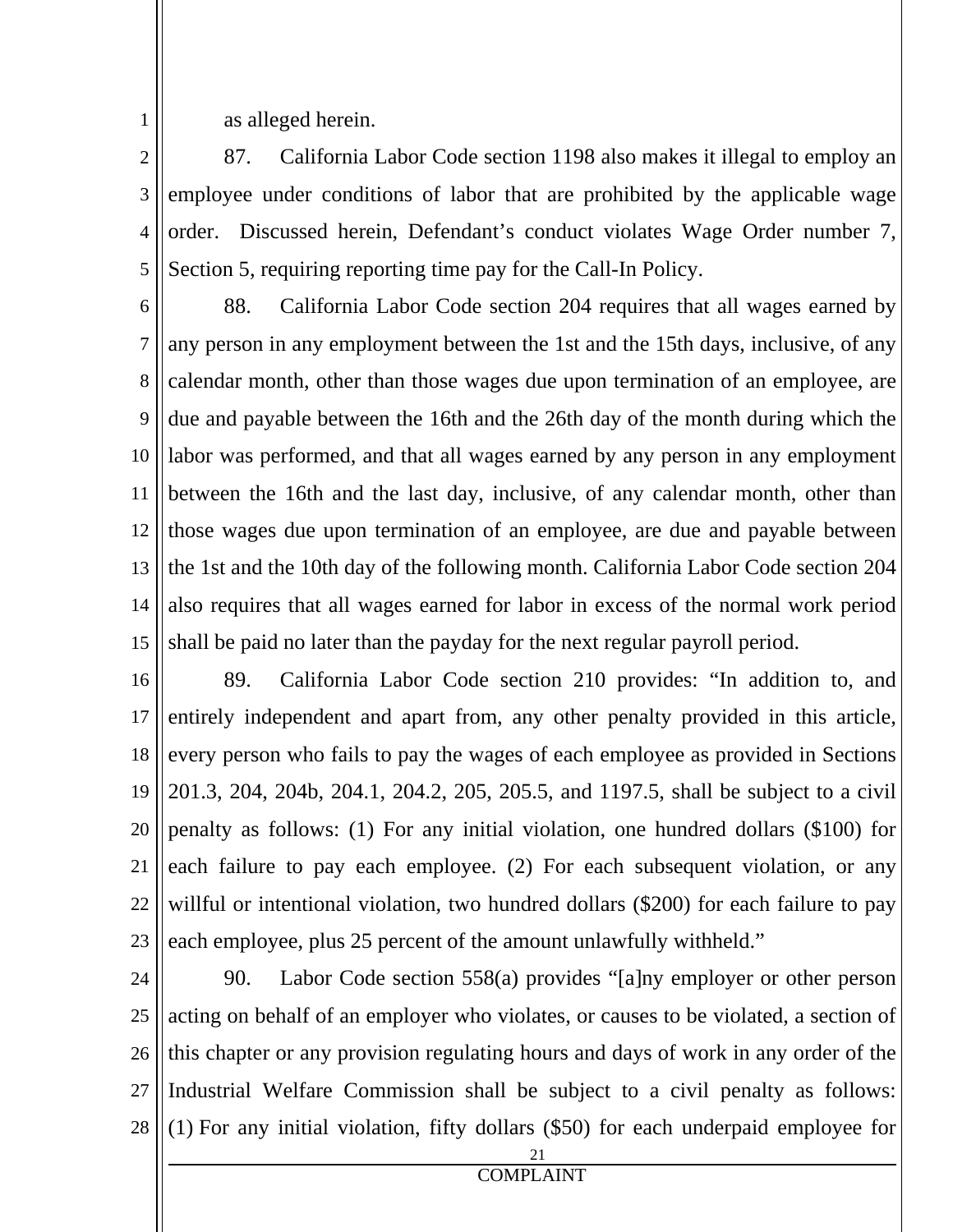as alleged herein.

1

2 3 4 5 87. California Labor Code section 1198 also makes it illegal to employ an employee under conditions of labor that are prohibited by the applicable wage order. Discussed herein, Defendant's conduct violates Wage Order number 7, Section 5, requiring reporting time pay for the Call-In Policy.

6 7 8 9 10 11 12 13 14 15 88. California Labor Code section 204 requires that all wages earned by any person in any employment between the 1st and the 15th days, inclusive, of any calendar month, other than those wages due upon termination of an employee, are due and payable between the 16th and the 26th day of the month during which the labor was performed, and that all wages earned by any person in any employment between the 16th and the last day, inclusive, of any calendar month, other than those wages due upon termination of an employee, are due and payable between the 1st and the 10th day of the following month. California Labor Code section 204 also requires that all wages earned for labor in excess of the normal work period shall be paid no later than the payday for the next regular payroll period.

16 17 18 19 20 21 22 23 89. California Labor Code section 210 provides: "In addition to, and entirely independent and apart from, any other penalty provided in this article, every person who fails to pay the wages of each employee as provided in Sections 201.3, 204, 204b, 204.1, 204.2, 205, 205.5, and 1197.5, shall be subject to a civil penalty as follows: (1) For any initial violation, one hundred dollars (\$100) for each failure to pay each employee. (2) For each subsequent violation, or any willful or intentional violation, two hundred dollars (\$200) for each failure to pay each employee, plus 25 percent of the amount unlawfully withheld."

24 25 26 27 28 90. Labor Code section 558(a) provides "[a]ny employer or other person acting on behalf of an employer who violates, or causes to be violated, a section of this chapter or any provision regulating hours and days of work in any order of the Industrial Welfare Commission shall be subject to a civil penalty as follows: (1) For any initial violation, fifty dollars (\$50) for each underpaid employee for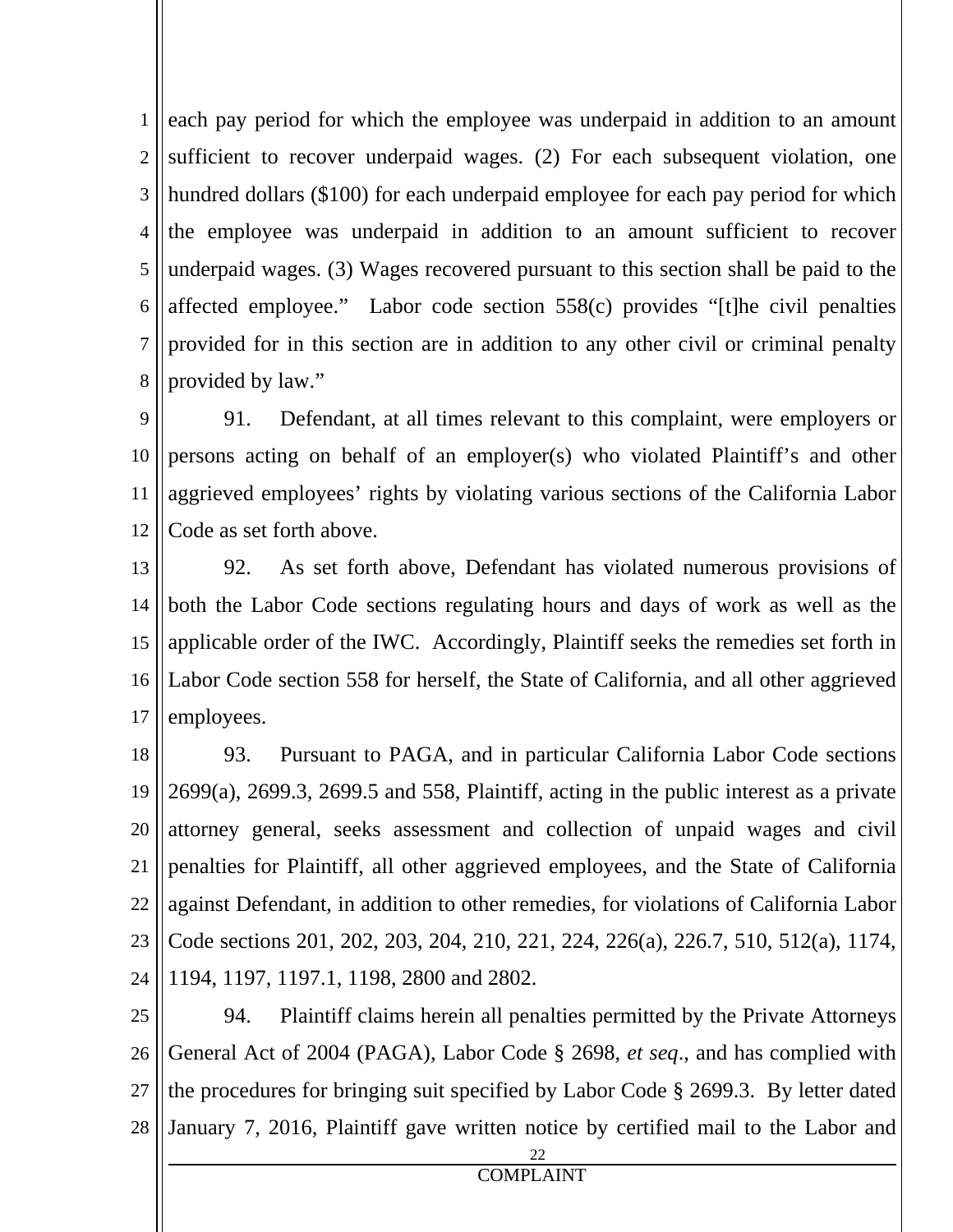1 2 3 4 5 6 7 8 each pay period for which the employee was underpaid in addition to an amount sufficient to recover underpaid wages. (2) For each subsequent violation, one hundred dollars (\$100) for each underpaid employee for each pay period for which the employee was underpaid in addition to an amount sufficient to recover underpaid wages. (3) Wages recovered pursuant to this section shall be paid to the affected employee." Labor code section 558(c) provides "[t]he civil penalties provided for in this section are in addition to any other civil or criminal penalty provided by law."

9 10 11 12 91. Defendant, at all times relevant to this complaint, were employers or persons acting on behalf of an employer(s) who violated Plaintiff's and other aggrieved employees' rights by violating various sections of the California Labor Code as set forth above.

13 14 15 16 17 92. As set forth above, Defendant has violated numerous provisions of both the Labor Code sections regulating hours and days of work as well as the applicable order of the IWC. Accordingly, Plaintiff seeks the remedies set forth in Labor Code section 558 for herself, the State of California, and all other aggrieved employees.

18 19 20 21 22 23 24 93. Pursuant to PAGA, and in particular California Labor Code sections 2699(a), 2699.3, 2699.5 and 558, Plaintiff, acting in the public interest as a private attorney general, seeks assessment and collection of unpaid wages and civil penalties for Plaintiff, all other aggrieved employees, and the State of California against Defendant, in addition to other remedies, for violations of California Labor Code sections 201, 202, 203, 204, 210, 221, 224, 226(a), 226.7, 510, 512(a), 1174, 1194, 1197, 1197.1, 1198, 2800 and 2802.

25 26 27 28 94. Plaintiff claims herein all penalties permitted by the Private Attorneys General Act of 2004 (PAGA), Labor Code § 2698, *et seq*., and has complied with the procedures for bringing suit specified by Labor Code § 2699.3. By letter dated January 7, 2016, Plaintiff gave written notice by certified mail to the Labor and

<u>22</u>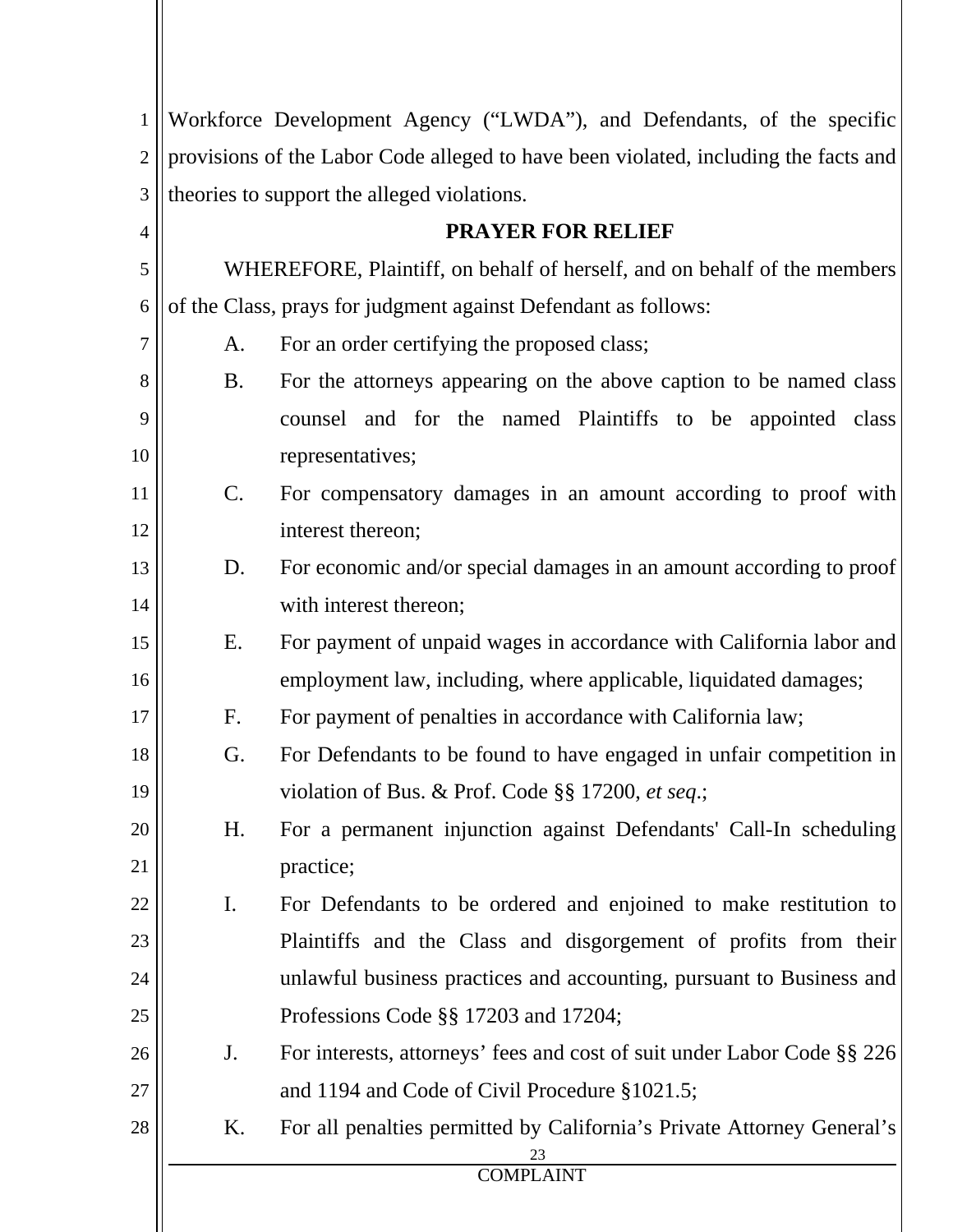| $\overline{2}$ | Workforce Development Agency ("LWDA"), and Defendants, of the specific<br>provisions of the Labor Code alleged to have been violated, including the facts and |                                                                                            |  |
|----------------|---------------------------------------------------------------------------------------------------------------------------------------------------------------|--------------------------------------------------------------------------------------------|--|
| 3              |                                                                                                                                                               |                                                                                            |  |
| $\overline{4}$ | theories to support the alleged violations.<br><b>PRAYER FOR RELIEF</b>                                                                                       |                                                                                            |  |
| 5              | WHEREFORE, Plaintiff, on behalf of herself, and on behalf of the members                                                                                      |                                                                                            |  |
| 6              | of the Class, prays for judgment against Defendant as follows:                                                                                                |                                                                                            |  |
| 7              | For an order certifying the proposed class;<br>A.                                                                                                             |                                                                                            |  |
| 8              | B.                                                                                                                                                            | For the attorneys appearing on the above caption to be named class                         |  |
| 9              |                                                                                                                                                               | counsel and for the named Plaintiffs to be appointed class                                 |  |
| 10             |                                                                                                                                                               | representatives;                                                                           |  |
| 11             | $\mathsf{C}.$                                                                                                                                                 | For compensatory damages in an amount according to proof with                              |  |
| 12             |                                                                                                                                                               | interest thereon;                                                                          |  |
| 13             | D.                                                                                                                                                            | For economic and/or special damages in an amount according to proof                        |  |
| 14             |                                                                                                                                                               | with interest thereon;                                                                     |  |
| 15             | Ε.                                                                                                                                                            | For payment of unpaid wages in accordance with California labor and                        |  |
| 16             |                                                                                                                                                               | employment law, including, where applicable, liquidated damages;                           |  |
| 17             | F.                                                                                                                                                            | For payment of penalties in accordance with California law;                                |  |
| 18             | G.                                                                                                                                                            | For Defendants to be found to have engaged in unfair competition in                        |  |
| 19             |                                                                                                                                                               | violation of Bus. & Prof. Code §§ 17200, et seq.;                                          |  |
| 20             | H.                                                                                                                                                            | For a permanent injunction against Defendants' Call-In scheduling                          |  |
| 21             |                                                                                                                                                               | practice;                                                                                  |  |
| 22             | $\mathbf{I}$ .                                                                                                                                                | For Defendants to be ordered and enjoined to make restitution to                           |  |
| 23             |                                                                                                                                                               | Plaintiffs and the Class and disgorgement of profits from their                            |  |
| 24             | unlawful business practices and accounting, pursuant to Business and                                                                                          |                                                                                            |  |
| 25             |                                                                                                                                                               | Professions Code §§ 17203 and 17204;                                                       |  |
| 26             | J.                                                                                                                                                            | For interests, attorneys' fees and cost of suit under Labor Code §§ 226                    |  |
| 27             |                                                                                                                                                               | and 1194 and Code of Civil Procedure §1021.5;                                              |  |
| 28             | K.                                                                                                                                                            | For all penalties permitted by California's Private Attorney General's<br><b>COMPLAINT</b> |  |